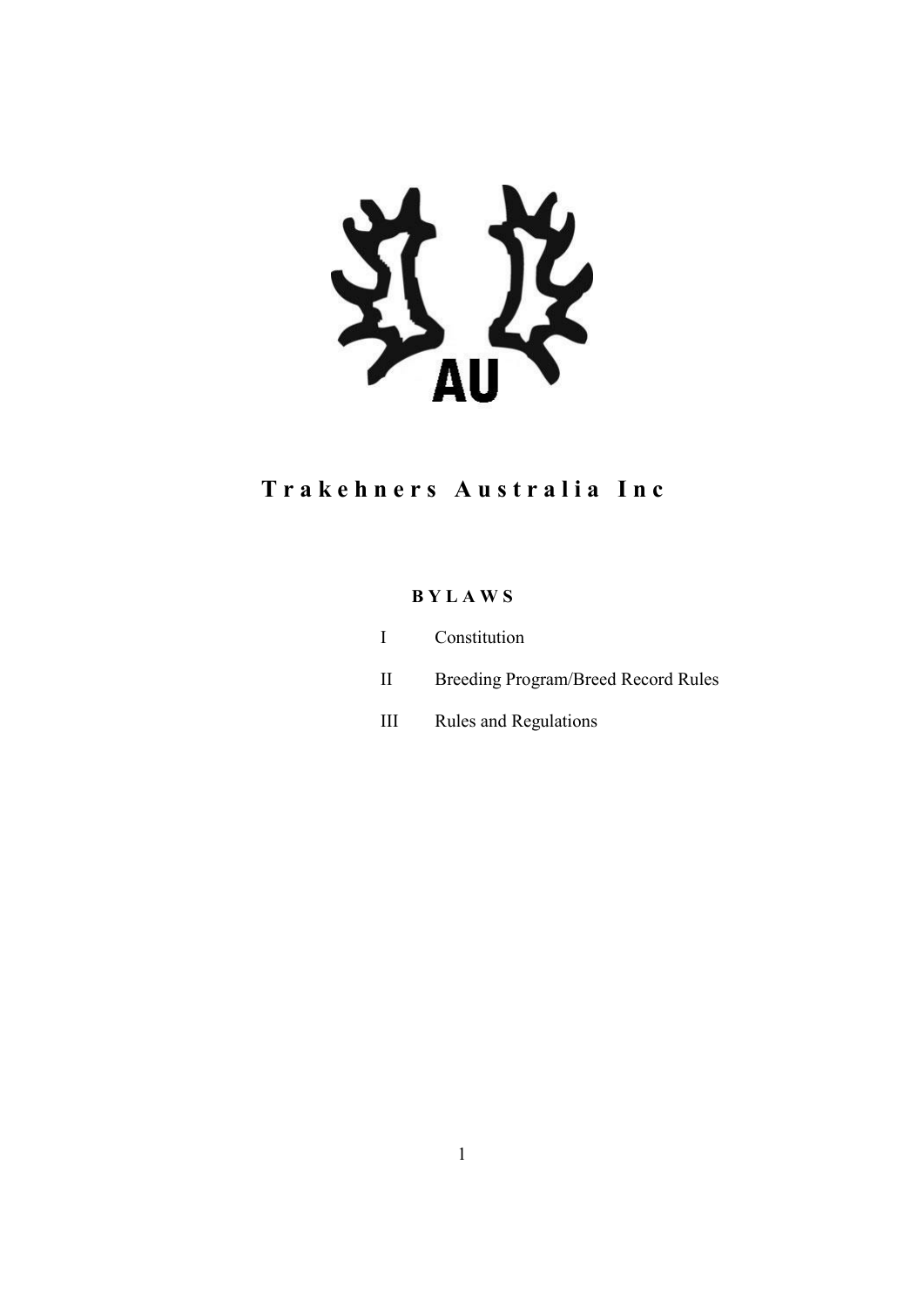

# Trakehners Australia Inc

# B Y L A W S

|              | I Constitution                      |
|--------------|-------------------------------------|
| $\mathbf{H}$ | Breeding Program/Breed Record Rules |

III Rules and Regulations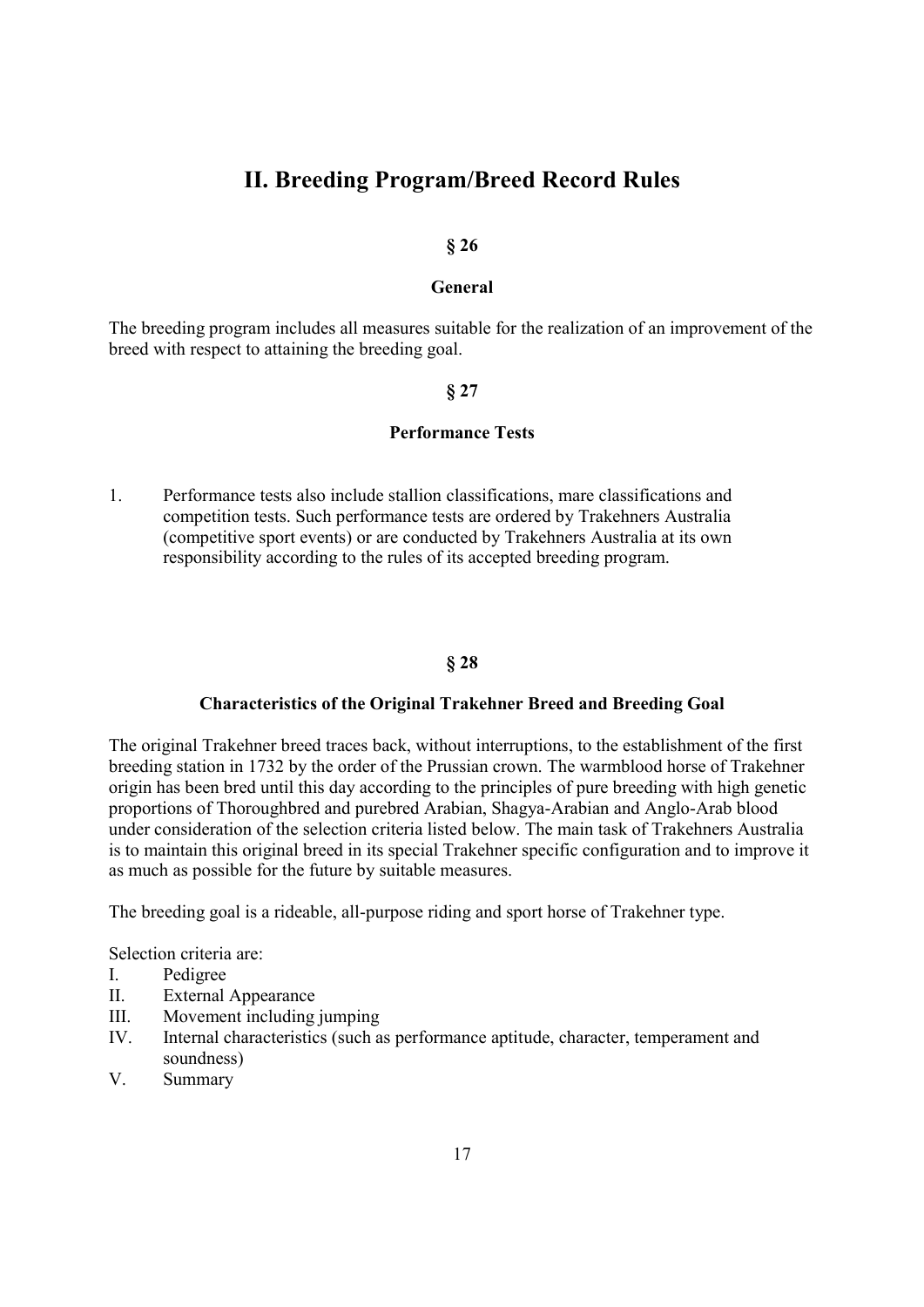# II. Breeding Program/Breed Record Rules

### § 26

#### General

The breeding program includes all measures suitable for the realization of an improvement of the breed with respect to attaining the breeding goal.

#### § 27

# Performance Tests

1. Performance tests also include stallion classifications, mare classifications and competition tests. Such performance tests are ordered by Trakehners Australia (competitive sport events) or are conducted by Trakehners Australia at its own responsibility according to the rules of its accepted breeding program.

### § 28

#### Characteristics of the Original Trakehner Breed and Breeding Goal

The original Trakehner breed traces back, without interruptions, to the establishment of the first breeding station in 1732 by the order of the Prussian crown. The warmblood horse of Trakehner origin has been bred until this day according to the principles of pure breeding with high genetic proportions of Thoroughbred and purebred Arabian, Shagya-Arabian and Anglo-Arab blood under consideration of the selection criteria listed below. The main task of Trakehners Australia is to maintain this original breed in its special Trakehner specific configuration and to improve it as much as possible for the future by suitable measures.

The breeding goal is a rideable, all-purpose riding and sport horse of Trakehner type.

Selection criteria are:

- I. Pedigree
- II. External Appearance
- III. Movement including jumping
- IV. Internal characteristics (such as performance aptitude, character, temperament and soundness)
- V. Summary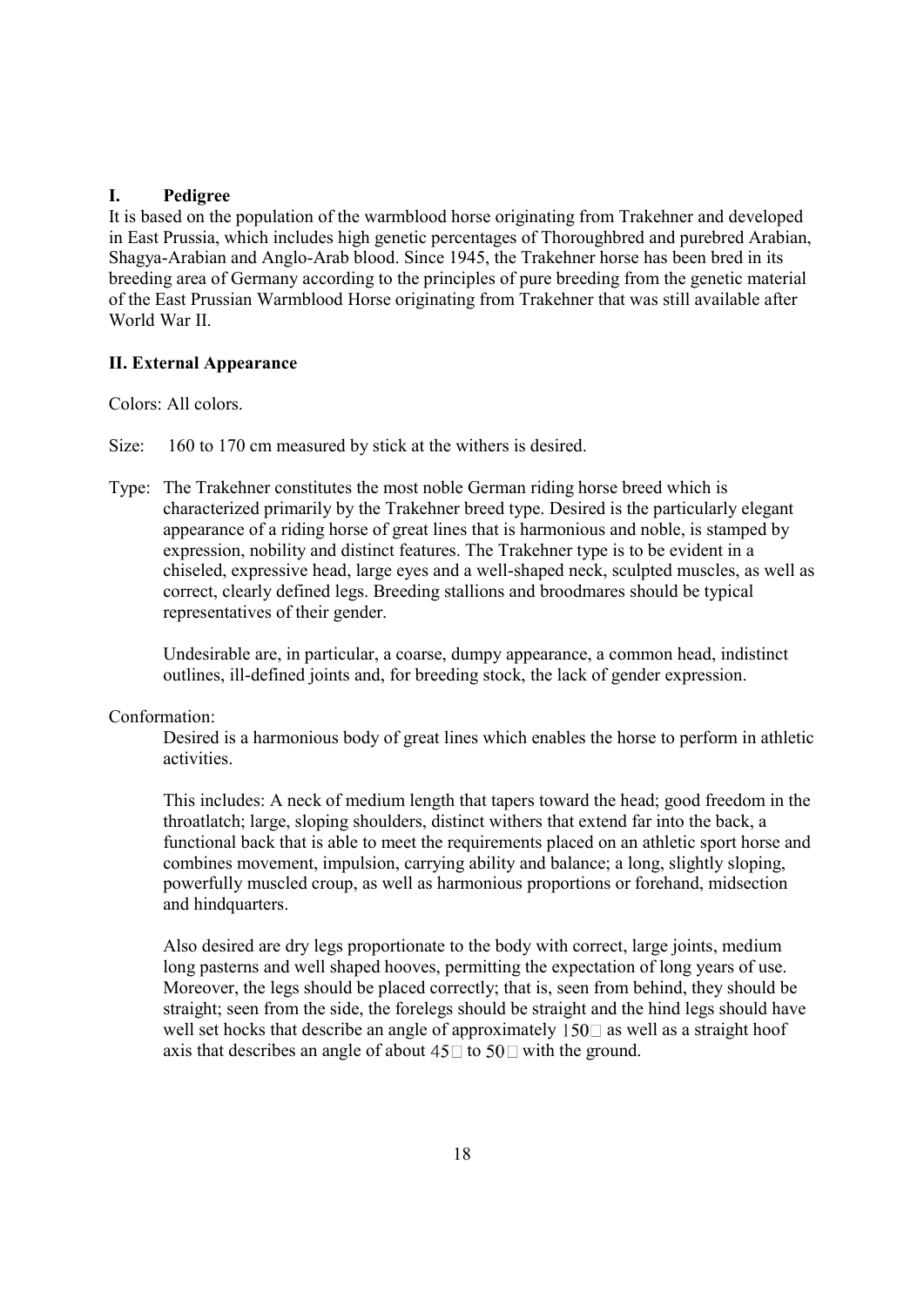### I. Pedigree

It is based on the population of the warmblood horse originating from Trakehner and developed in East Prussia, which includes high genetic percentages of Thoroughbred and purebred Arabian, Shagya-Arabian and Anglo-Arab blood. Since 1945, the Trakehner horse has been bred in its breeding area of Germany according to the principles of pure breeding from the genetic material of the East Prussian Warmblood Horse originating from Trakehner that was still available after World War II.

### II. External Appearance

Colors: All colors.

Size: 160 to 170 cm measured by stick at the withers is desired.

Type: The Trakehner constitutes the most noble German riding horse breed which is characterized primarily by the Trakehner breed type. Desired is the particularly elegant appearance of a riding horse of great lines that is harmonious and noble, is stamped by expression, nobility and distinct features. The Trakehner type is to be evident in a chiseled, expressive head, large eyes and a well-shaped neck, sculpted muscles, as well as correct, clearly defined legs. Breeding stallions and broodmares should be typical representatives of their gender.

Undesirable are, in particular, a coarse, dumpy appearance, a common head, indistinct outlines, ill-defined joints and, for breeding stock, the lack of gender expression.

### Conformation:

Desired is a harmonious body of great lines which enables the horse to perform in athletic activities.

This includes: A neck of medium length that tapers toward the head; good freedom in the throatlatch; large, sloping shoulders, distinct withers that extend far into the back, a functional back that is able to meet the requirements placed on an athletic sport horse and combines movement, impulsion, carrying ability and balance; a long, slightly sloping, powerfully muscled croup, as well as harmonious proportions or forehand, midsection and hindquarters.

Also desired are dry legs proportionate to the body with correct, large joints, medium long pasterns and well shaped hooves, permitting the expectation of long years of use. Moreover, the legs should be placed correctly; that is, seen from behind, they should be straight; seen from the side, the forelegs should be straight and the hind legs should have well set hocks that describe an angle of approximately  $150\degree$  as well as a straight hoof axis that describes an angle of about  $45\Box$  to  $50\Box$  with the ground.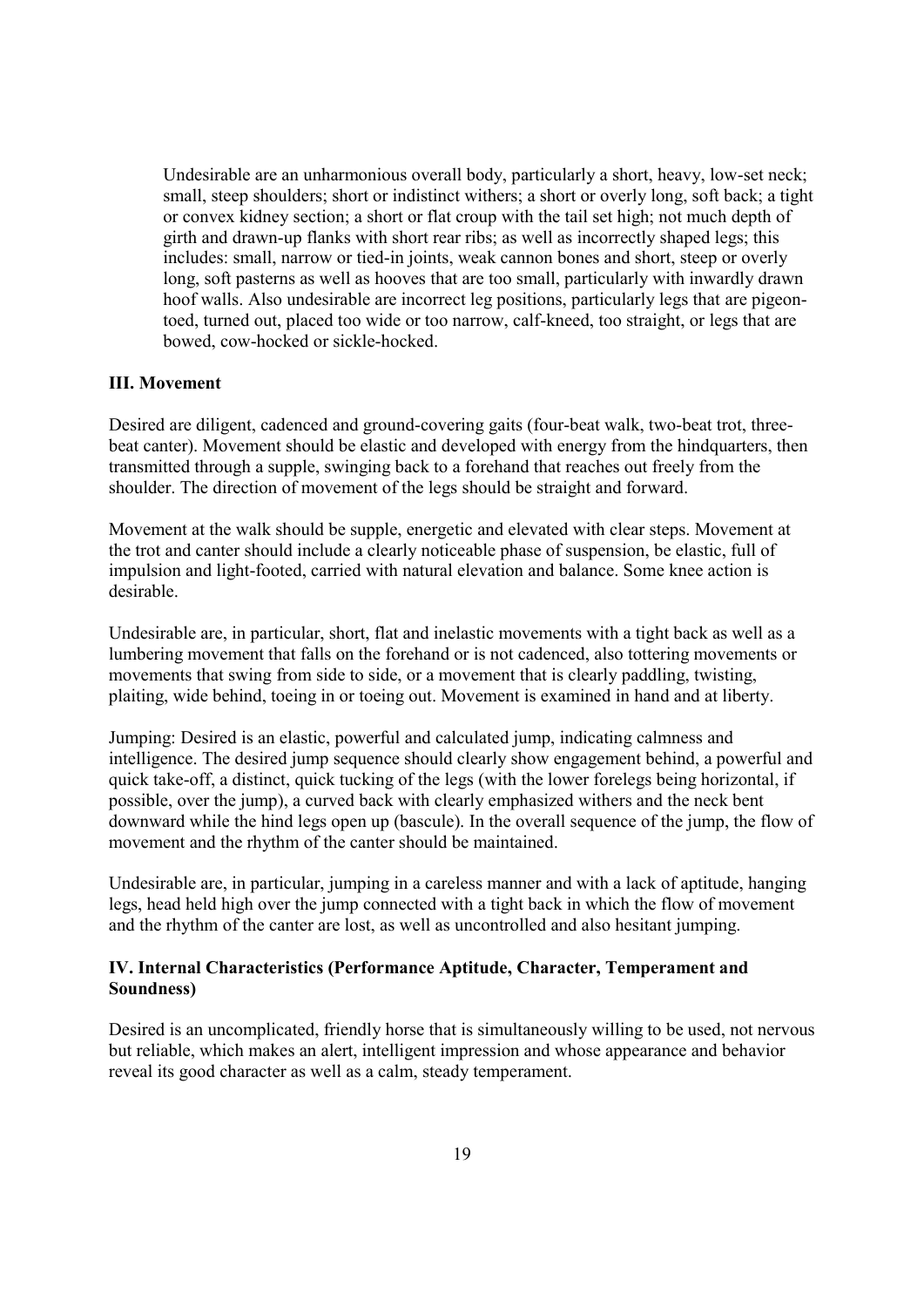Undesirable are an unharmonious overall body, particularly a short, heavy, low-set neck; small, steep shoulders; short or indistinct withers; a short or overly long, soft back; a tight or convex kidney section; a short or flat croup with the tail set high; not much depth of girth and drawn-up flanks with short rear ribs; as well as incorrectly shaped legs; this includes: small, narrow or tied-in joints, weak cannon bones and short, steep or overly long, soft pasterns as well as hooves that are too small, particularly with inwardly drawn hoof walls. Also undesirable are incorrect leg positions, particularly legs that are pigeontoed, turned out, placed too wide or too narrow, calf-kneed, too straight, or legs that are bowed, cow-hocked or sickle-hocked.

### III. Movement

Desired are diligent, cadenced and ground-covering gaits (four-beat walk, two-beat trot, threebeat canter). Movement should be elastic and developed with energy from the hindquarters, then transmitted through a supple, swinging back to a forehand that reaches out freely from the shoulder. The direction of movement of the legs should be straight and forward.

Movement at the walk should be supple, energetic and elevated with clear steps. Movement at the trot and canter should include a clearly noticeable phase of suspension, be elastic, full of impulsion and light-footed, carried with natural elevation and balance. Some knee action is desirable.

Undesirable are, in particular, short, flat and inelastic movements with a tight back as well as a lumbering movement that falls on the forehand or is not cadenced, also tottering movements or movements that swing from side to side, or a movement that is clearly paddling, twisting, plaiting, wide behind, toeing in or toeing out. Movement is examined in hand and at liberty.

Jumping: Desired is an elastic, powerful and calculated jump, indicating calmness and intelligence. The desired jump sequence should clearly show engagement behind, a powerful and quick take-off, a distinct, quick tucking of the legs (with the lower forelegs being horizontal, if possible, over the jump), a curved back with clearly emphasized withers and the neck bent downward while the hind legs open up (bascule). In the overall sequence of the jump, the flow of movement and the rhythm of the canter should be maintained.

Undesirable are, in particular, jumping in a careless manner and with a lack of aptitude, hanging legs, head held high over the jump connected with a tight back in which the flow of movement and the rhythm of the canter are lost, as well as uncontrolled and also hesitant jumping.

### IV. Internal Characteristics (Performance Aptitude, Character, Temperament and Soundness)

Desired is an uncomplicated, friendly horse that is simultaneously willing to be used, not nervous but reliable, which makes an alert, intelligent impression and whose appearance and behavior reveal its good character as well as a calm, steady temperament.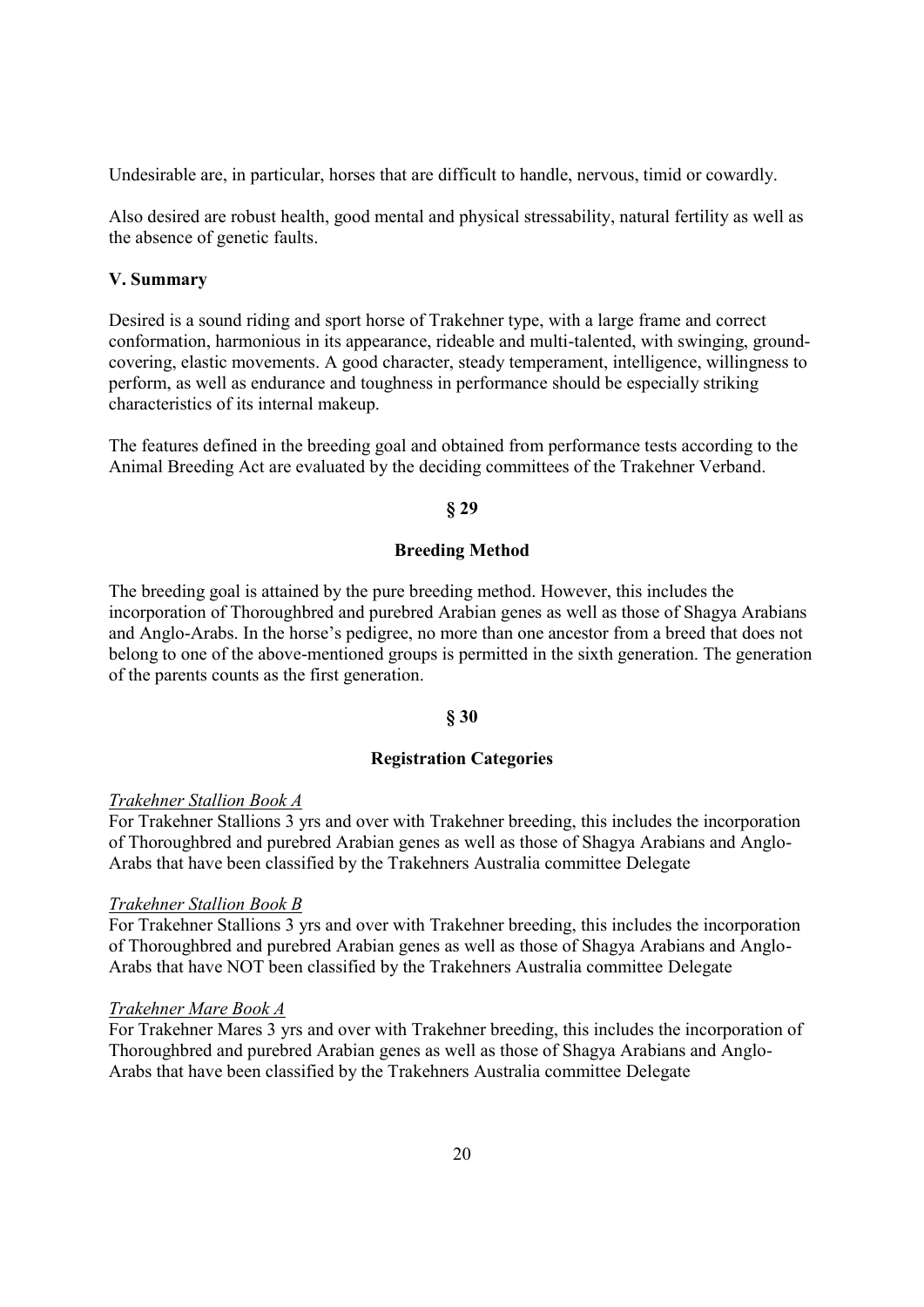Undesirable are, in particular, horses that are difficult to handle, nervous, timid or cowardly.

Also desired are robust health, good mental and physical stressability, natural fertility as well as the absence of genetic faults.

### V. Summary

Desired is a sound riding and sport horse of Trakehner type, with a large frame and correct conformation, harmonious in its appearance, rideable and multi-talented, with swinging, groundcovering, elastic movements. A good character, steady temperament, intelligence, willingness to perform, as well as endurance and toughness in performance should be especially striking characteristics of its internal makeup.

The features defined in the breeding goal and obtained from performance tests according to the Animal Breeding Act are evaluated by the deciding committees of the Trakehner Verband.

#### § 29

### Breeding Method

The breeding goal is attained by the pure breeding method. However, this includes the incorporation of Thoroughbred and purebred Arabian genes as well as those of Shagya Arabians and Anglo-Arabs. In the horse's pedigree, no more than one ancestor from a breed that does not belong to one of the above-mentioned groups is permitted in the sixth generation. The generation of the parents counts as the first generation.

#### § 30

### Registration Categories

#### Trakehner Stallion Book A

For Trakehner Stallions 3 yrs and over with Trakehner breeding, this includes the incorporation of Thoroughbred and purebred Arabian genes as well as those of Shagya Arabians and Anglo-Arabs that have been classified by the Trakehners Australia committee Delegate

#### Trakehner Stallion Book B

For Trakehner Stallions 3 yrs and over with Trakehner breeding, this includes the incorporation of Thoroughbred and purebred Arabian genes as well as those of Shagya Arabians and Anglo-Arabs that have NOT been classified by the Trakehners Australia committee Delegate

### Trakehner Mare Book A

For Trakehner Mares 3 yrs and over with Trakehner breeding, this includes the incorporation of Thoroughbred and purebred Arabian genes as well as those of Shagya Arabians and Anglo-Arabs that have been classified by the Trakehners Australia committee Delegate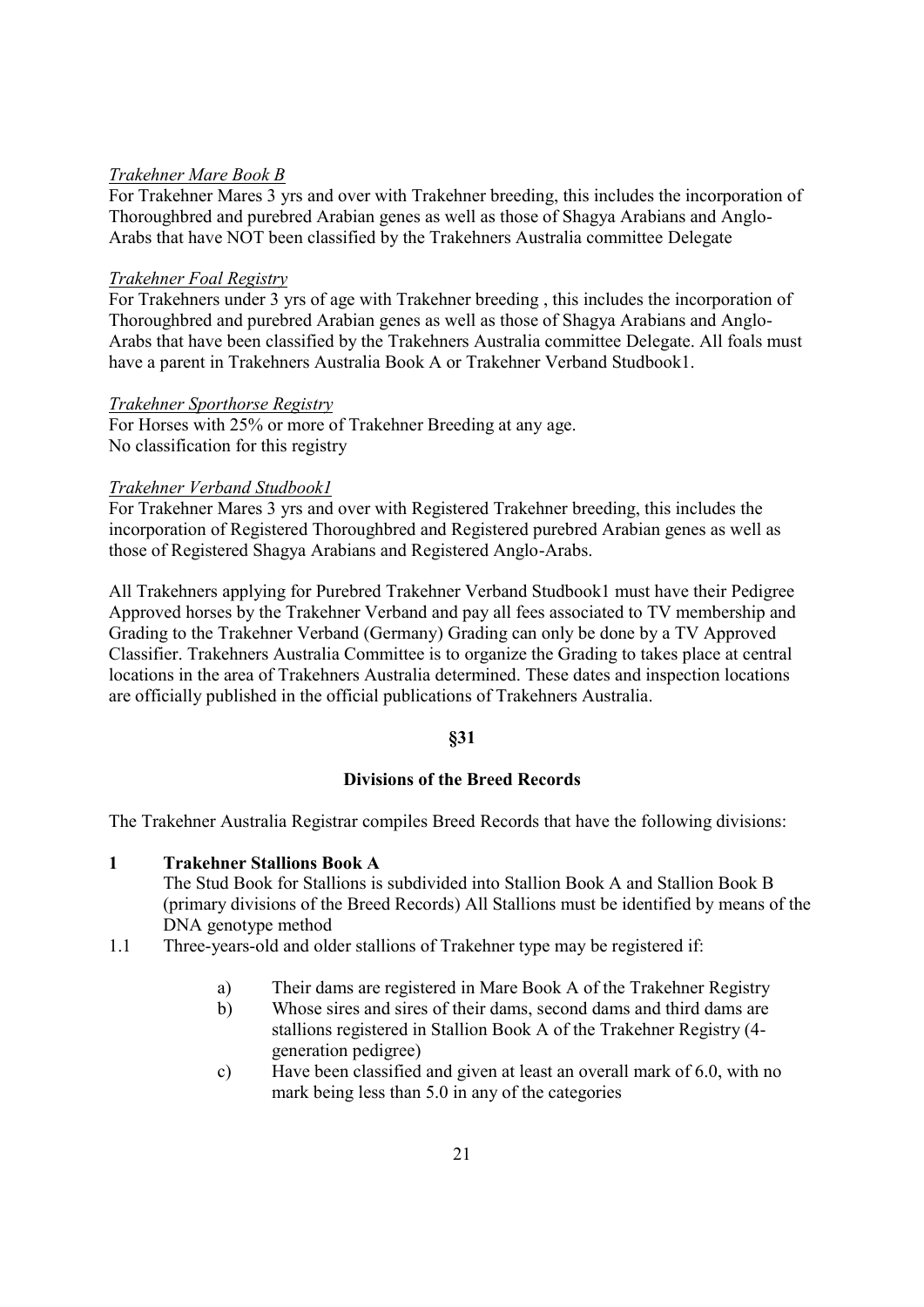### Trakehner Mare Book B

For Trakehner Mares 3 yrs and over with Trakehner breeding, this includes the incorporation of Thoroughbred and purebred Arabian genes as well as those of Shagya Arabians and Anglo-Arabs that have NOT been classified by the Trakehners Australia committee Delegate

#### Trakehner Foal Registry

For Trakehners under 3 yrs of age with Trakehner breeding , this includes the incorporation of Thoroughbred and purebred Arabian genes as well as those of Shagya Arabians and Anglo-Arabs that have been classified by the Trakehners Australia committee Delegate. All foals must have a parent in Trakehners Australia Book A or Trakehner Verband Studbook1.

#### Trakehner Sporthorse Registry

For Horses with 25% or more of Trakehner Breeding at any age. No classification for this registry

#### Trakehner Verband Studbook1

For Trakehner Mares 3 yrs and over with Registered Trakehner breeding, this includes the incorporation of Registered Thoroughbred and Registered purebred Arabian genes as well as those of Registered Shagya Arabians and Registered Anglo-Arabs.

All Trakehners applying for Purebred Trakehner Verband Studbook1 must have their Pedigree Approved horses by the Trakehner Verband and pay all fees associated to TV membership and Grading to the Trakehner Verband (Germany) Grading can only be done by a TV Approved Classifier. Trakehners Australia Committee is to organize the Grading to takes place at central locations in the area of Trakehners Australia determined. These dates and inspection locations are officially published in the official publications of Trakehners Australia.

### §31

# Divisions of the Breed Records

The Trakehner Australia Registrar compiles Breed Records that have the following divisions:

#### 1 Trakehner Stallions Book A

The Stud Book for Stallions is subdivided into Stallion Book A and Stallion Book B (primary divisions of the Breed Records) All Stallions must be identified by means of the DNA genotype method

- 1.1 Three-years-old and older stallions of Trakehner type may be registered if:
	- a) Their dams are registered in Mare Book A of the Trakehner Registry
	- b) Whose sires and sires of their dams, second dams and third dams are stallions registered in Stallion Book A of the Trakehner Registry (4 generation pedigree)
	- c) Have been classified and given at least an overall mark of 6.0, with no mark being less than 5.0 in any of the categories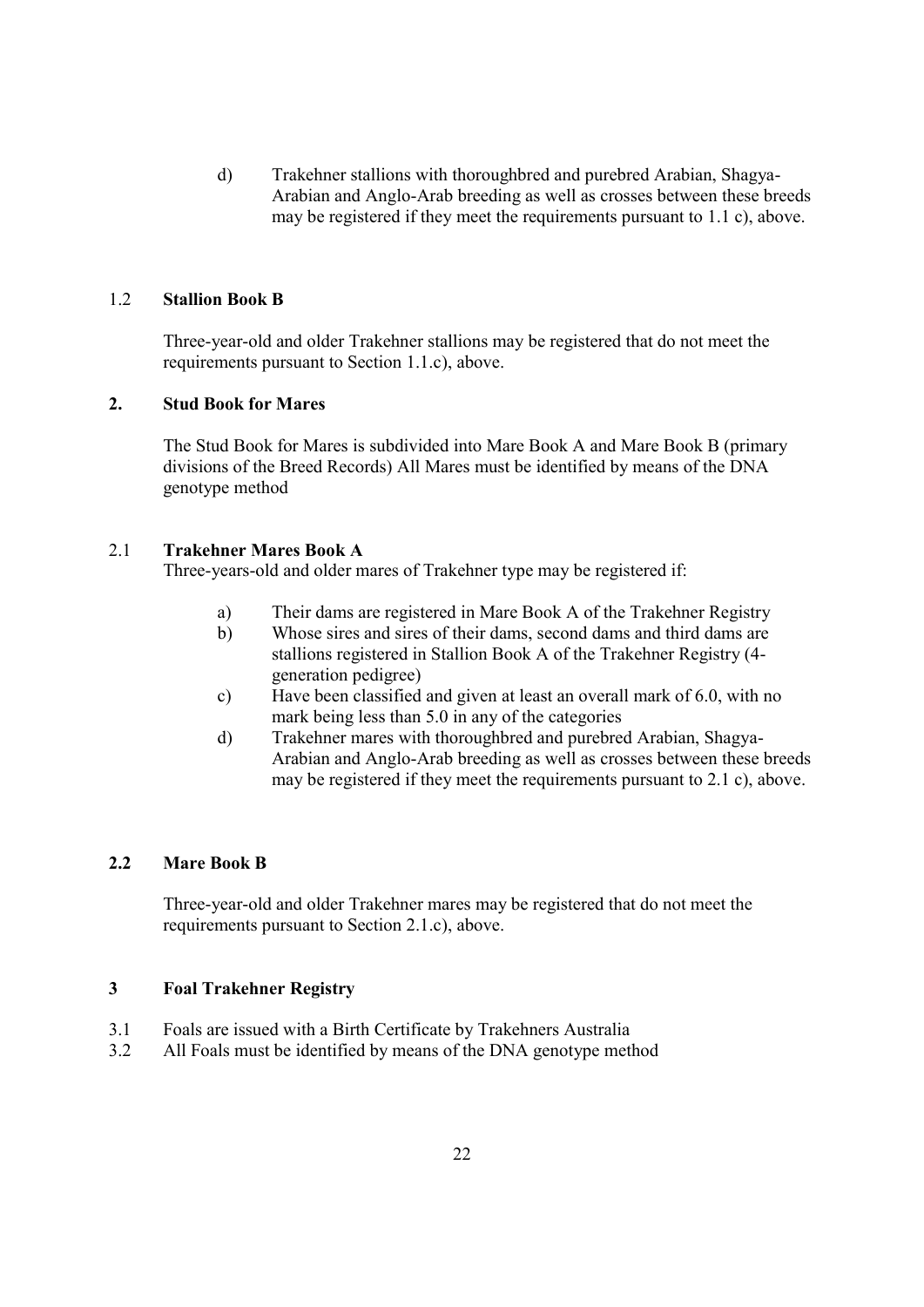d) Trakehner stallions with thoroughbred and purebred Arabian, Shagya-Arabian and Anglo-Arab breeding as well as crosses between these breeds may be registered if they meet the requirements pursuant to 1.1 c), above.

## 1.2 Stallion Book B

Three-year-old and older Trakehner stallions may be registered that do not meet the requirements pursuant to Section 1.1.c), above.

## 2. Stud Book for Mares

The Stud Book for Mares is subdivided into Mare Book A and Mare Book B (primary divisions of the Breed Records) All Mares must be identified by means of the DNA genotype method

## 2.1 Trakehner Mares Book A

Three-years-old and older mares of Trakehner type may be registered if:

- a) Their dams are registered in Mare Book A of the Trakehner Registry
- b) Whose sires and sires of their dams, second dams and third dams are stallions registered in Stallion Book A of the Trakehner Registry (4 generation pedigree)
- c) Have been classified and given at least an overall mark of 6.0, with no mark being less than 5.0 in any of the categories
- d) Trakehner mares with thoroughbred and purebred Arabian, Shagya-Arabian and Anglo-Arab breeding as well as crosses between these breeds may be registered if they meet the requirements pursuant to 2.1 c), above.

### 2.2 Mare Book B

Three-year-old and older Trakehner mares may be registered that do not meet the requirements pursuant to Section 2.1.c), above.

### 3 Foal Trakehner Registry

- 3.1 Foals are issued with a Birth Certificate by Trakehners Australia
- 3.2 All Foals must be identified by means of the DNA genotype method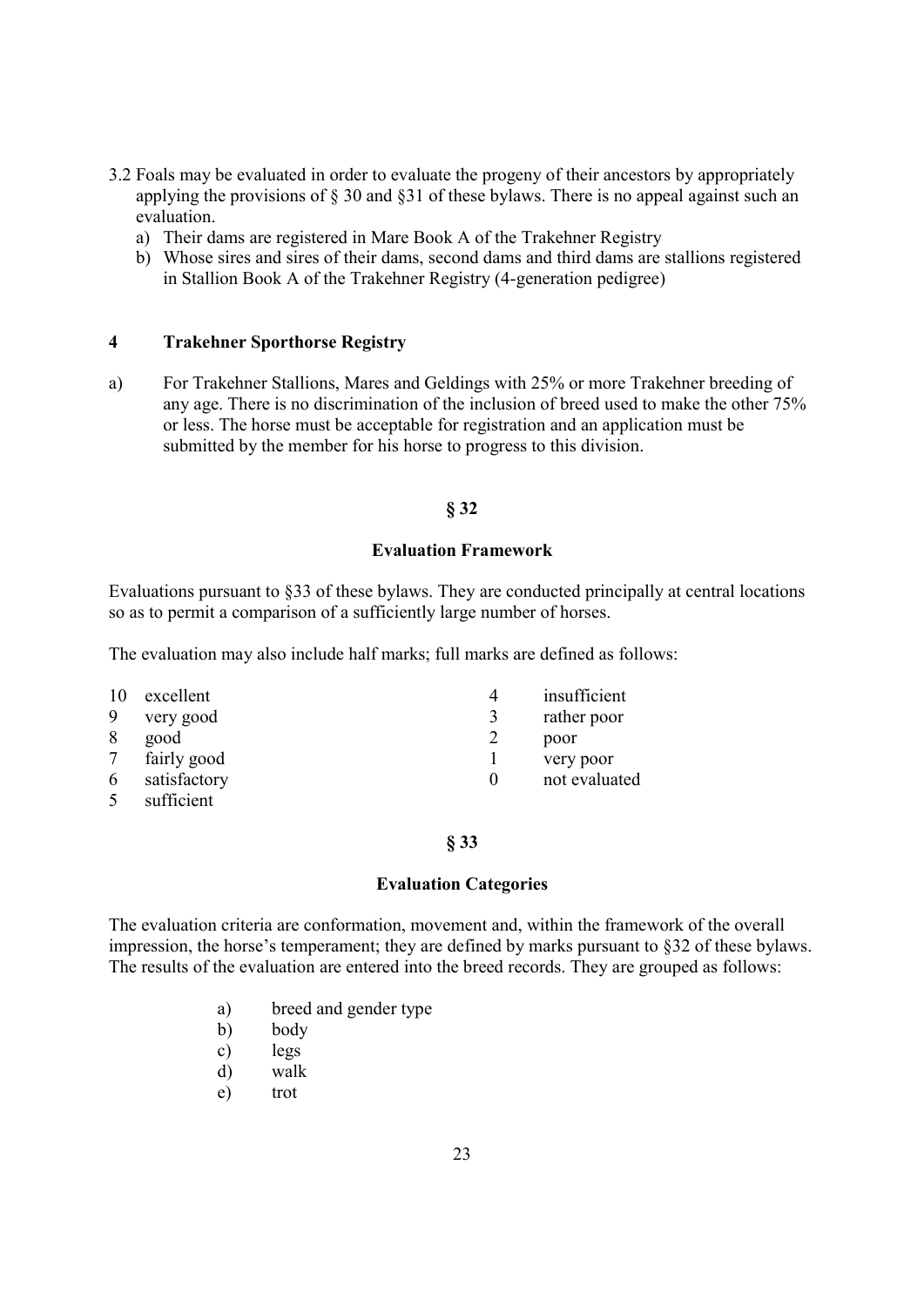- 3.2 Foals may be evaluated in order to evaluate the progeny of their ancestors by appropriately applying the provisions of § 30 and §31 of these bylaws. There is no appeal against such an evaluation.
	- a) Their dams are registered in Mare Book A of the Trakehner Registry
	- b) Whose sires and sires of their dams, second dams and third dams are stallions registered in Stallion Book A of the Trakehner Registry (4-generation pedigree)

### 4 Trakehner Sporthorse Registry

a) For Trakehner Stallions, Mares and Geldings with 25% or more Trakehner breeding of any age. There is no discrimination of the inclusion of breed used to make the other 75% or less. The horse must be acceptable for registration and an application must be submitted by the member for his horse to progress to this division.

#### § 32

#### Evaluation Framework

Evaluations pursuant to §33 of these bylaws. They are conducted principally at central locations so as to permit a comparison of a sufficiently large number of horses.

The evaluation may also include half marks; full marks are defined as follows:

| 10     | excellent    | insufficient  |
|--------|--------------|---------------|
| 9      | very good    | rather poor   |
| 8      | good         | poor          |
| $\tau$ | fairly good  | very poor     |
| 6      | satisfactory | not evaluated |
|        |              |               |

5 sufficient

§ 33

#### Evaluation Categories

The evaluation criteria are conformation, movement and, within the framework of the overall impression, the horse's temperament; they are defined by marks pursuant to §32 of these bylaws. The results of the evaluation are entered into the breed records. They are grouped as follows:

- a) breed and gender type
- b) body
- c) legs
- d) walk
- e) trot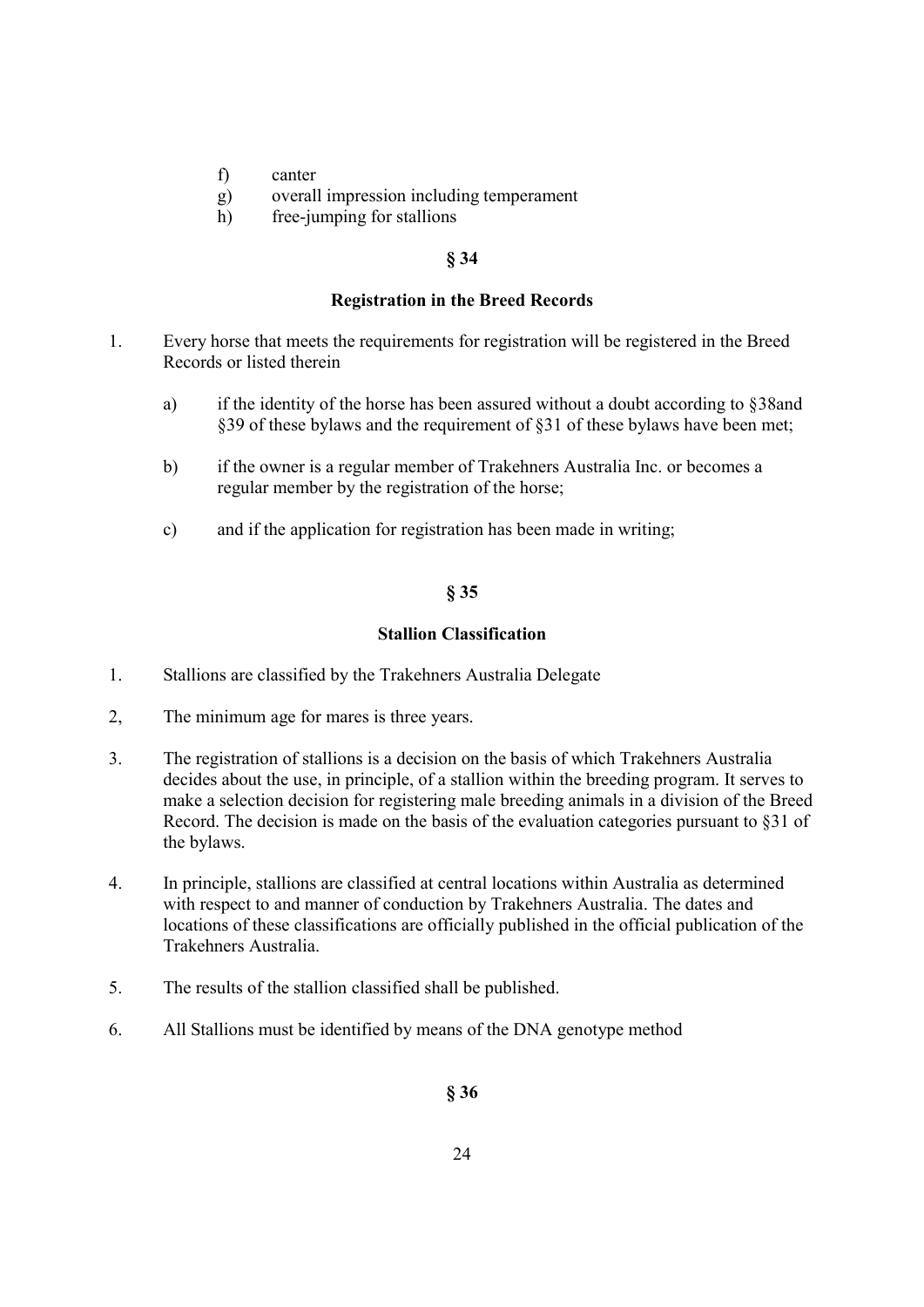- f) canter
- g) overall impression including temperament
- h) free-jumping for stallions

#### § 34

#### Registration in the Breed Records

- 1. Every horse that meets the requirements for registration will be registered in the Breed Records or listed therein
	- a) if the identity of the horse has been assured without a doubt according to §38and §39 of these bylaws and the requirement of §31 of these bylaws have been met;
	- b) if the owner is a regular member of Trakehners Australia Inc. or becomes a regular member by the registration of the horse;
	- c) and if the application for registration has been made in writing;

# § 35

#### Stallion Classification

- 1. Stallions are classified by the Trakehners Australia Delegate
- 2, The minimum age for mares is three years.
- 3. The registration of stallions is a decision on the basis of which Trakehners Australia decides about the use, in principle, of a stallion within the breeding program. It serves to make a selection decision for registering male breeding animals in a division of the Breed Record. The decision is made on the basis of the evaluation categories pursuant to §31 of the bylaws.
- 4. In principle, stallions are classified at central locations within Australia as determined with respect to and manner of conduction by Trakehners Australia. The dates and locations of these classifications are officially published in the official publication of the Trakehners Australia.
- 5. The results of the stallion classified shall be published.
- 6. All Stallions must be identified by means of the DNA genotype method

§ 36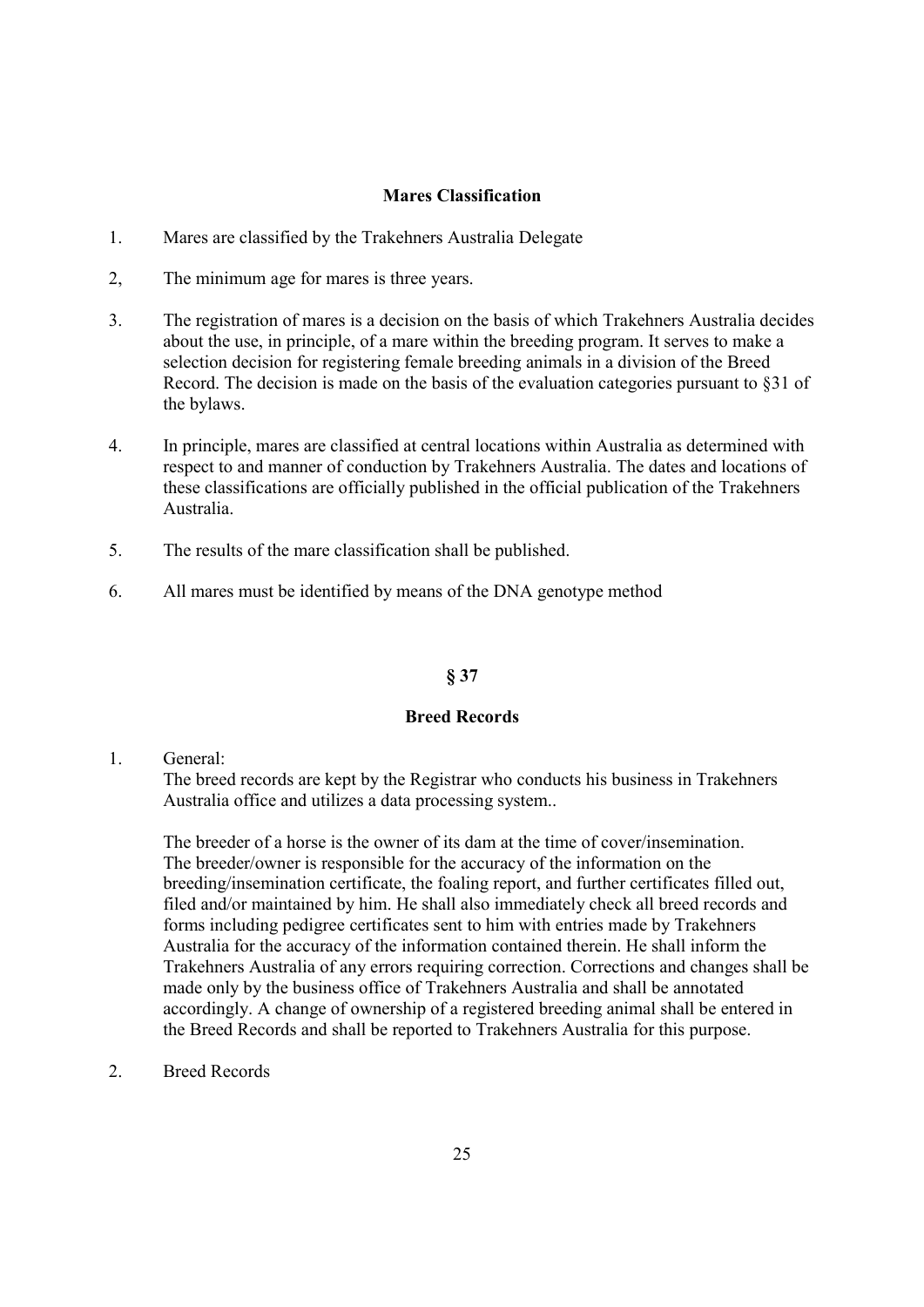### Mares Classification

- 1. Mares are classified by the Trakehners Australia Delegate
- 2, The minimum age for mares is three years.
- 3. The registration of mares is a decision on the basis of which Trakehners Australia decides about the use, in principle, of a mare within the breeding program. It serves to make a selection decision for registering female breeding animals in a division of the Breed Record. The decision is made on the basis of the evaluation categories pursuant to §31 of the bylaws.
- 4. In principle, mares are classified at central locations within Australia as determined with respect to and manner of conduction by Trakehners Australia. The dates and locations of these classifications are officially published in the official publication of the Trakehners Australia.
- 5. The results of the mare classification shall be published.
- 6. All mares must be identified by means of the DNA genotype method

### § 37

### Breed Records

1. General:

The breed records are kept by the Registrar who conducts his business in Trakehners Australia office and utilizes a data processing system..

The breeder of a horse is the owner of its dam at the time of cover/insemination. The breeder/owner is responsible for the accuracy of the information on the breeding/insemination certificate, the foaling report, and further certificates filled out, filed and/or maintained by him. He shall also immediately check all breed records and forms including pedigree certificates sent to him with entries made by Trakehners Australia for the accuracy of the information contained therein. He shall inform the Trakehners Australia of any errors requiring correction. Corrections and changes shall be made only by the business office of Trakehners Australia and shall be annotated accordingly. A change of ownership of a registered breeding animal shall be entered in the Breed Records and shall be reported to Trakehners Australia for this purpose.

2. Breed Records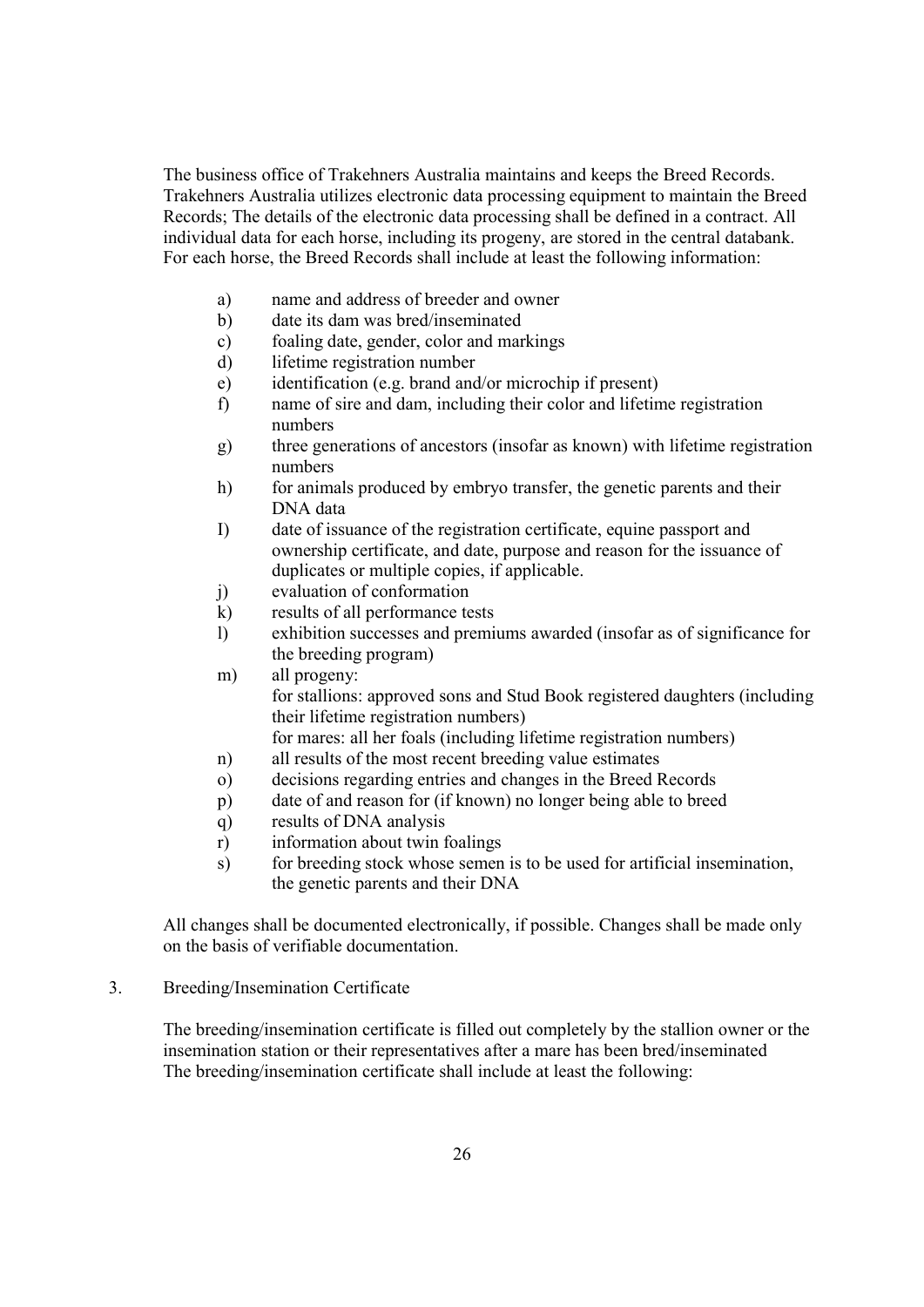The business office of Trakehners Australia maintains and keeps the Breed Records. Trakehners Australia utilizes electronic data processing equipment to maintain the Breed Records; The details of the electronic data processing shall be defined in a contract. All individual data for each horse, including its progeny, are stored in the central databank. For each horse, the Breed Records shall include at least the following information:

- a) name and address of breeder and owner
- b) date its dam was bred/inseminated
- c) foaling date, gender, color and markings
- d) lifetime registration number
- e) identification (e.g. brand and/or microchip if present)
- f) name of sire and dam, including their color and lifetime registration numbers
- g) three generations of ancestors (insofar as known) with lifetime registration numbers
- h) for animals produced by embryo transfer, the genetic parents and their DNA data
- I) date of issuance of the registration certificate, equine passport and ownership certificate, and date, purpose and reason for the issuance of duplicates or multiple copies, if applicable.
- j) evaluation of conformation
- k) results of all performance tests
- l) exhibition successes and premiums awarded (insofar as of significance for the breeding program)
- m) all progeny: for stallions: approved sons and Stud Book registered daughters (including their lifetime registration numbers) for mares: all her foals (including lifetime registration numbers)
- n) all results of the most recent breeding value estimates
- o) decisions regarding entries and changes in the Breed Records
- p) date of and reason for (if known) no longer being able to breed
- q) results of DNA analysis
- r) information about twin foalings
- s) for breeding stock whose semen is to be used for artificial insemination, the genetic parents and their DNA

All changes shall be documented electronically, if possible. Changes shall be made only on the basis of verifiable documentation.

### 3. Breeding/Insemination Certificate

The breeding/insemination certificate is filled out completely by the stallion owner or the insemination station or their representatives after a mare has been bred/inseminated The breeding/insemination certificate shall include at least the following: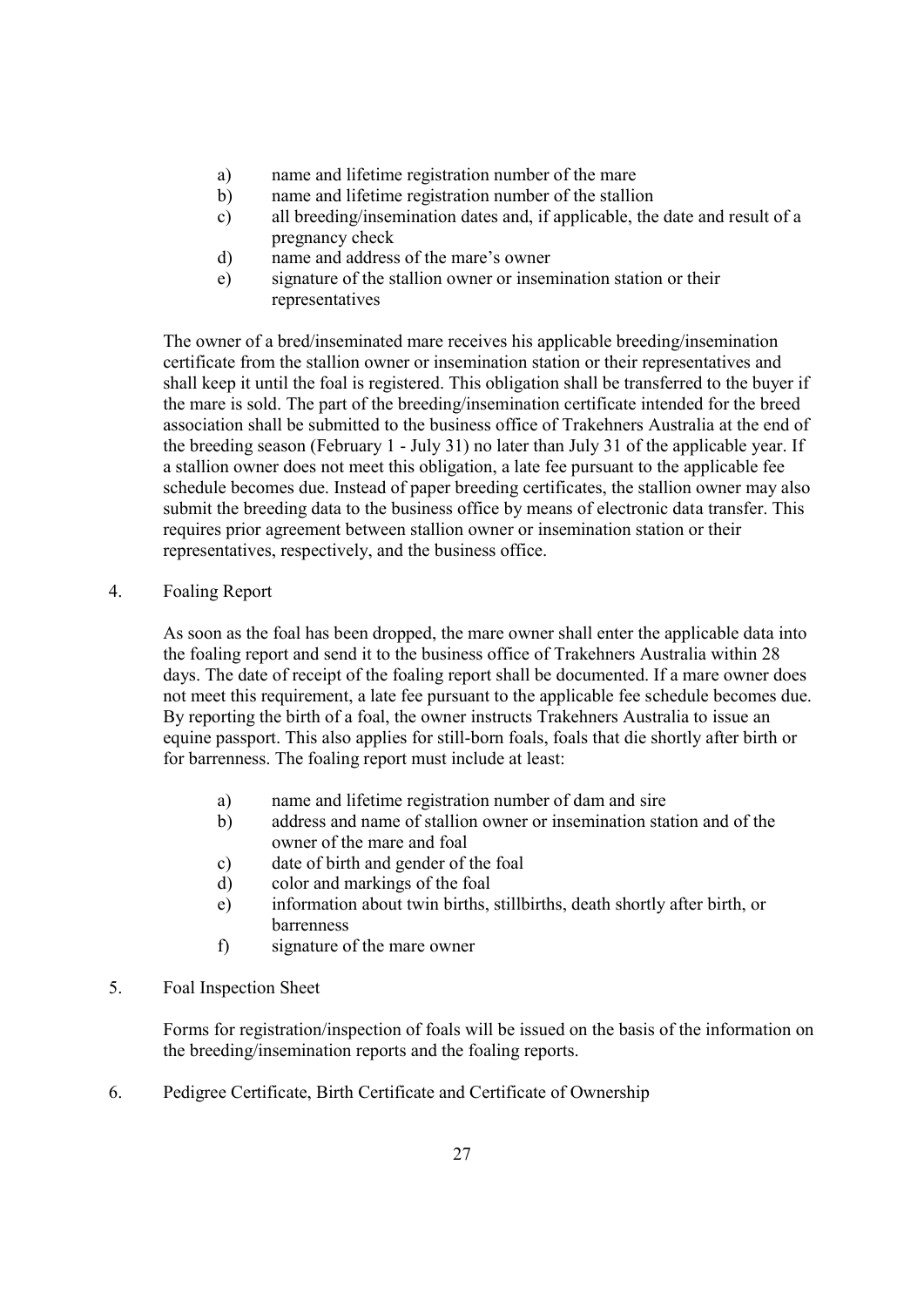- a) name and lifetime registration number of the mare
- b) name and lifetime registration number of the stallion
- c) all breeding/insemination dates and, if applicable, the date and result of a pregnancy check
- d) name and address of the mare's owner
- e) signature of the stallion owner or insemination station or their representatives

The owner of a bred/inseminated mare receives his applicable breeding/insemination certificate from the stallion owner or insemination station or their representatives and shall keep it until the foal is registered. This obligation shall be transferred to the buyer if the mare is sold. The part of the breeding/insemination certificate intended for the breed association shall be submitted to the business office of Trakehners Australia at the end of the breeding season (February 1 - July 31) no later than July 31 of the applicable year. If a stallion owner does not meet this obligation, a late fee pursuant to the applicable fee schedule becomes due. Instead of paper breeding certificates, the stallion owner may also submit the breeding data to the business office by means of electronic data transfer. This requires prior agreement between stallion owner or insemination station or their representatives, respectively, and the business office.

4. Foaling Report

As soon as the foal has been dropped, the mare owner shall enter the applicable data into the foaling report and send it to the business office of Trakehners Australia within 28 days. The date of receipt of the foaling report shall be documented. If a mare owner does not meet this requirement, a late fee pursuant to the applicable fee schedule becomes due. By reporting the birth of a foal, the owner instructs Trakehners Australia to issue an equine passport. This also applies for still-born foals, foals that die shortly after birth or for barrenness. The foaling report must include at least:

- a) name and lifetime registration number of dam and sire
- b) address and name of stallion owner or insemination station and of the owner of the mare and foal
- c) date of birth and gender of the foal
- d) color and markings of the foal
- e) information about twin births, stillbirths, death shortly after birth, or barrenness
- f) signature of the mare owner
- 5. Foal Inspection Sheet

Forms for registration/inspection of foals will be issued on the basis of the information on the breeding/insemination reports and the foaling reports.

6. Pedigree Certificate, Birth Certificate and Certificate of Ownership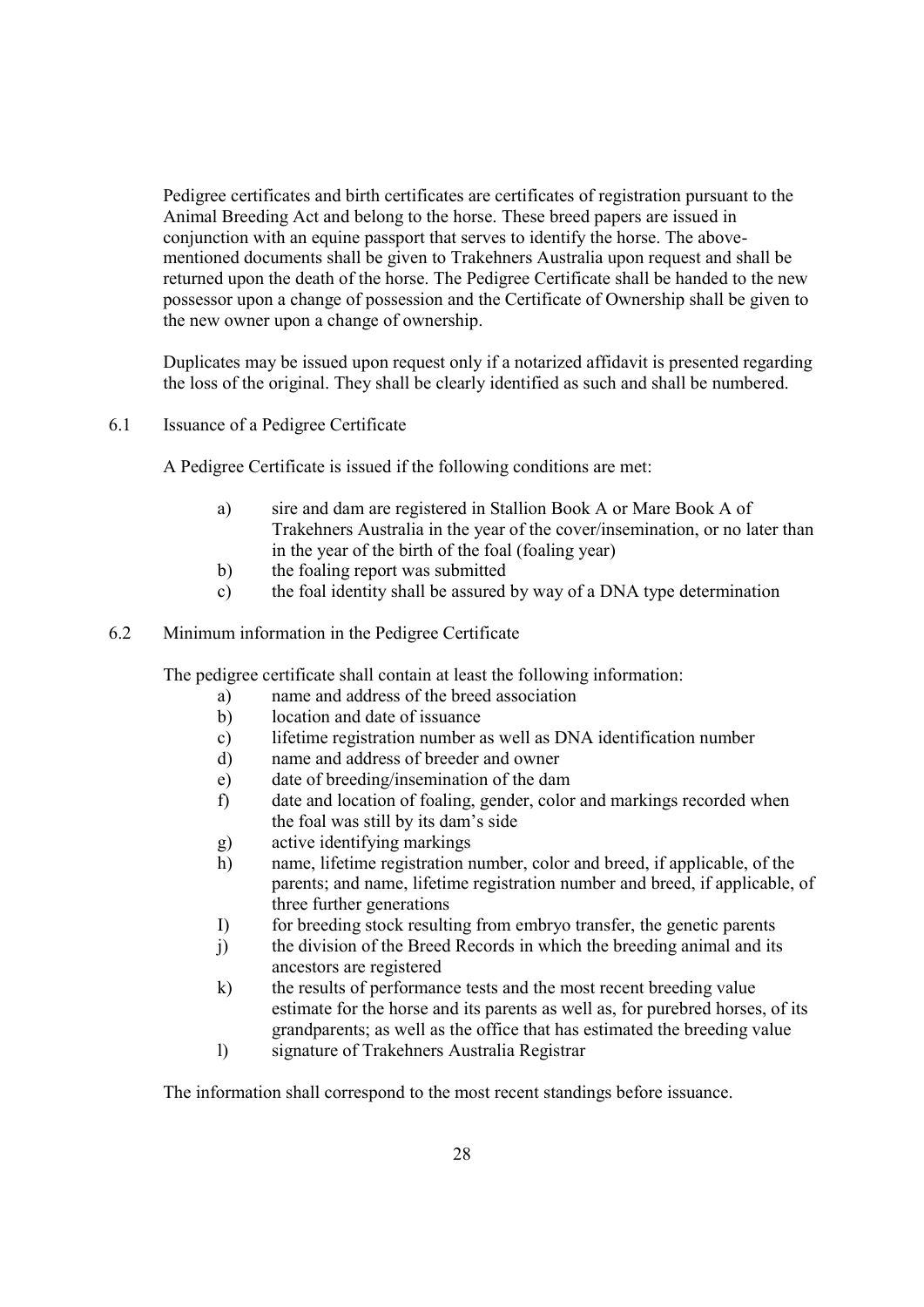Pedigree certificates and birth certificates are certificates of registration pursuant to the Animal Breeding Act and belong to the horse. These breed papers are issued in conjunction with an equine passport that serves to identify the horse. The abovementioned documents shall be given to Trakehners Australia upon request and shall be returned upon the death of the horse. The Pedigree Certificate shall be handed to the new possessor upon a change of possession and the Certificate of Ownership shall be given to the new owner upon a change of ownership.

Duplicates may be issued upon request only if a notarized affidavit is presented regarding the loss of the original. They shall be clearly identified as such and shall be numbered.

6.1 Issuance of a Pedigree Certificate

A Pedigree Certificate is issued if the following conditions are met:

- a) sire and dam are registered in Stallion Book A or Mare Book A of Trakehners Australia in the year of the cover/insemination, or no later than in the year of the birth of the foal (foaling year)
- b) the foaling report was submitted
- c) the foal identity shall be assured by way of a DNA type determination
- 6.2 Minimum information in the Pedigree Certificate

The pedigree certificate shall contain at least the following information:

- a) name and address of the breed association
- b) location and date of issuance
- c) lifetime registration number as well as DNA identification number
- d) name and address of breeder and owner
- e) date of breeding/insemination of the dam
- f) date and location of foaling, gender, color and markings recorded when the foal was still by its dam's side
- g) active identifying markings
- h) name, lifetime registration number, color and breed, if applicable, of the parents; and name, lifetime registration number and breed, if applicable, of three further generations
- I) for breeding stock resulting from embryo transfer, the genetic parents
- j) the division of the Breed Records in which the breeding animal and its ancestors are registered
- k) the results of performance tests and the most recent breeding value estimate for the horse and its parents as well as, for purebred horses, of its grandparents; as well as the office that has estimated the breeding value
- l) signature of Trakehners Australia Registrar

The information shall correspond to the most recent standings before issuance.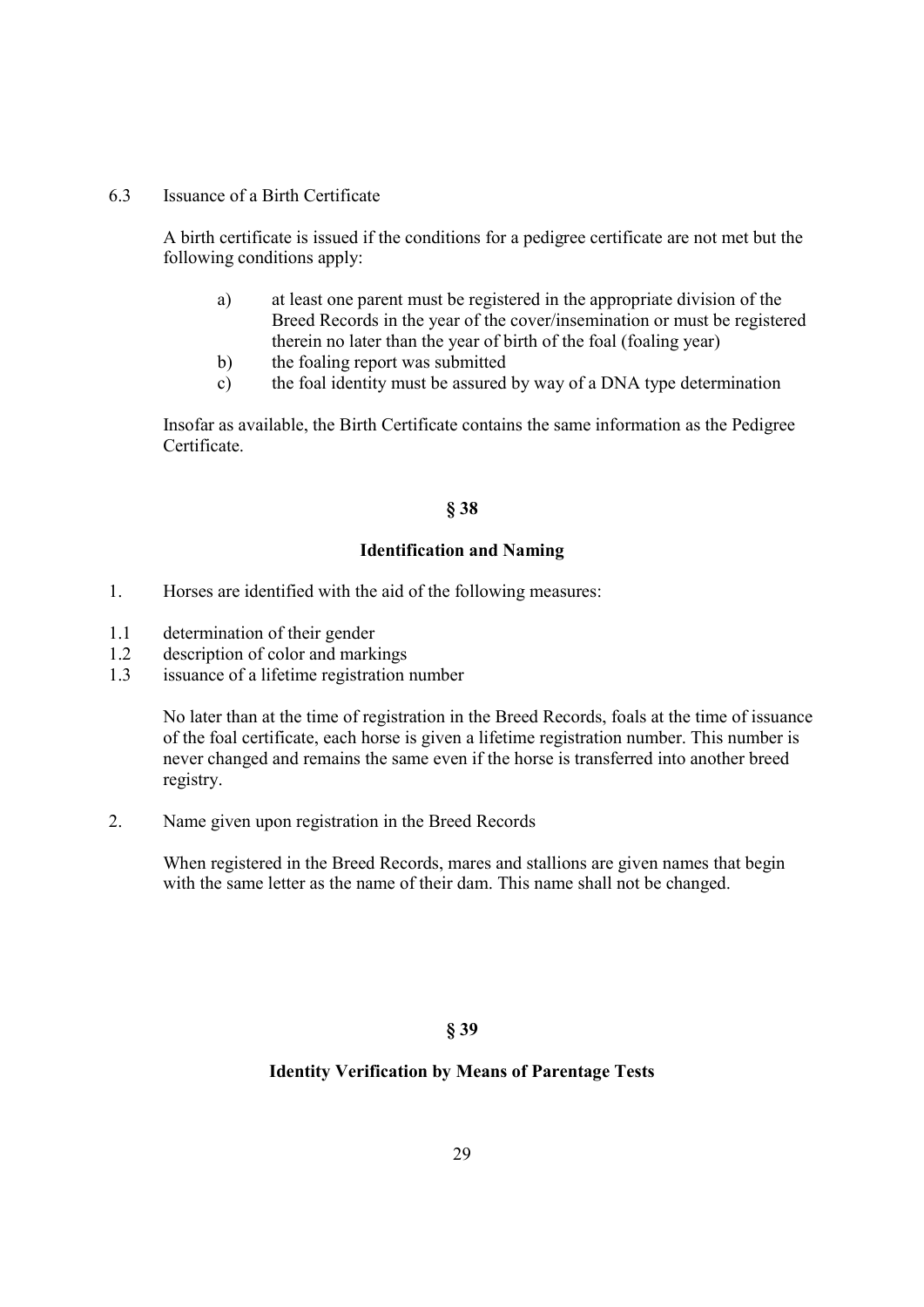6.3 Issuance of a Birth Certificate

A birth certificate is issued if the conditions for a pedigree certificate are not met but the following conditions apply:

- a) at least one parent must be registered in the appropriate division of the Breed Records in the year of the cover/insemination or must be registered therein no later than the year of birth of the foal (foaling year)
- b) the foaling report was submitted
- c) the foal identity must be assured by way of a DNA type determination

Insofar as available, the Birth Certificate contains the same information as the Pedigree Certificate.

### § 38

### Identification and Naming

- 1. Horses are identified with the aid of the following measures:
- 1.1 determination of their gender
- 1.2 description of color and markings
- 1.3 issuance of a lifetime registration number

No later than at the time of registration in the Breed Records, foals at the time of issuance of the foal certificate, each horse is given a lifetime registration number. This number is never changed and remains the same even if the horse is transferred into another breed registry.

2. Name given upon registration in the Breed Records

When registered in the Breed Records, mares and stallions are given names that begin with the same letter as the name of their dam. This name shall not be changed.

### § 39

### Identity Verification by Means of Parentage Tests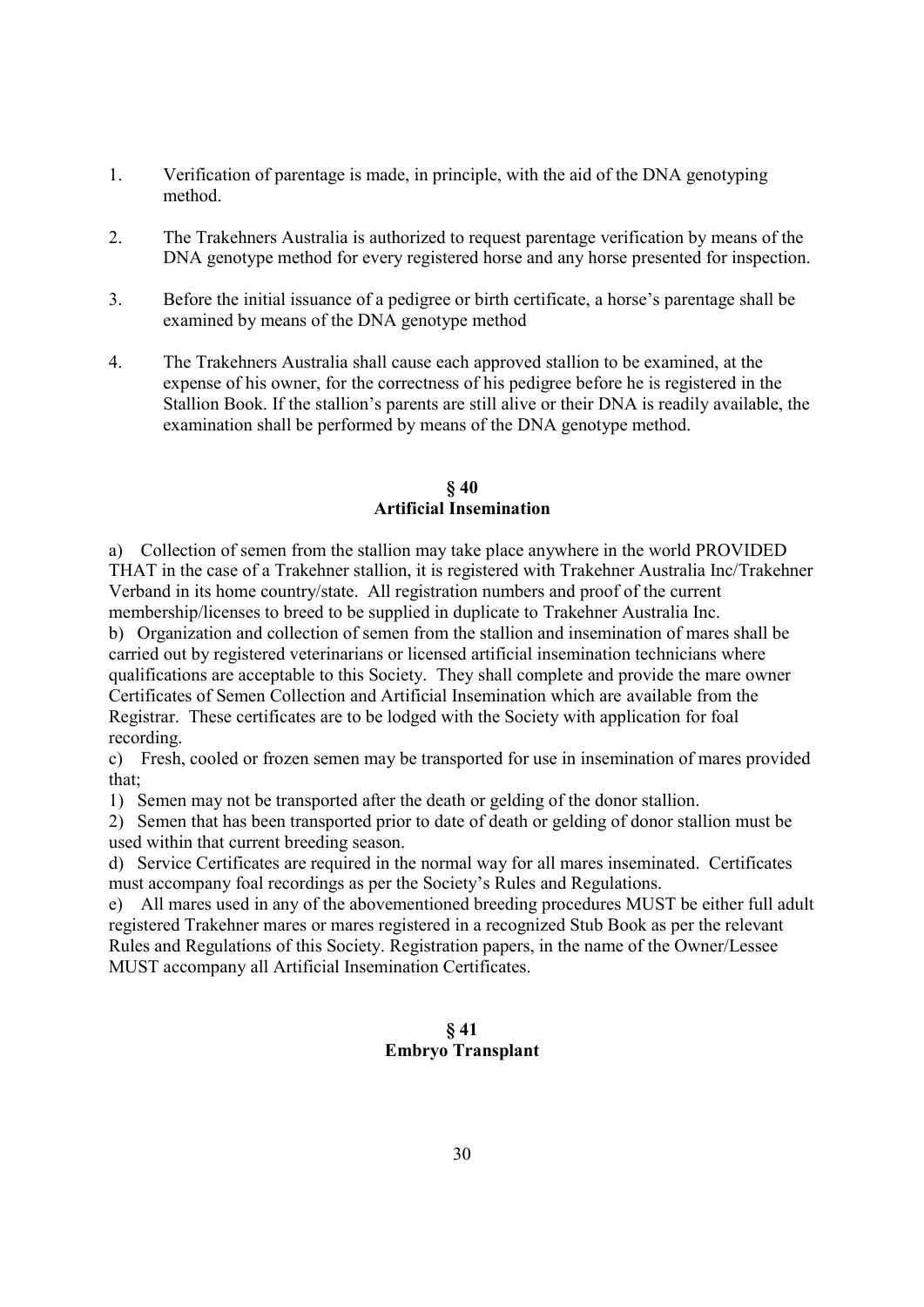- 1. Verification of parentage is made, in principle, with the aid of the DNA genotyping method.
- 2. The Trakehners Australia is authorized to request parentage verification by means of the DNA genotype method for every registered horse and any horse presented for inspection.
- 3. Before the initial issuance of a pedigree or birth certificate, a horse's parentage shall be examined by means of the DNA genotype method
- 4. The Trakehners Australia shall cause each approved stallion to be examined, at the expense of his owner, for the correctness of his pedigree before he is registered in the Stallion Book. If the stallion's parents are still alive or their DNA is readily available, the examination shall be performed by means of the DNA genotype method.

### § 40 Artificial Insemination

a) Collection of semen from the stallion may take place anywhere in the world PROVIDED THAT in the case of a Trakehner stallion, it is registered with Trakehner Australia Inc/Trakehner Verband in its home country/state. All registration numbers and proof of the current membership/licenses to breed to be supplied in duplicate to Trakehner Australia Inc.

b) Organization and collection of semen from the stallion and insemination of mares shall be carried out by registered veterinarians or licensed artificial insemination technicians where qualifications are acceptable to this Society. They shall complete and provide the mare owner Certificates of Semen Collection and Artificial Insemination which are available from the Registrar. These certificates are to be lodged with the Society with application for foal recording.

c) Fresh, cooled or frozen semen may be transported for use in insemination of mares provided that;

1) Semen may not be transported after the death or gelding of the donor stallion.

2) Semen that has been transported prior to date of death or gelding of donor stallion must be used within that current breeding season.

d) Service Certificates are required in the normal way for all mares inseminated. Certificates must accompany foal recordings as per the Society's Rules and Regulations.

e) All mares used in any of the abovementioned breeding procedures MUST be either full adult registered Trakehner mares or mares registered in a recognized Stub Book as per the relevant Rules and Regulations of this Society. Registration papers, in the name of the Owner/Lessee MUST accompany all Artificial Insemination Certificates.

# § 41 Embryo Transplant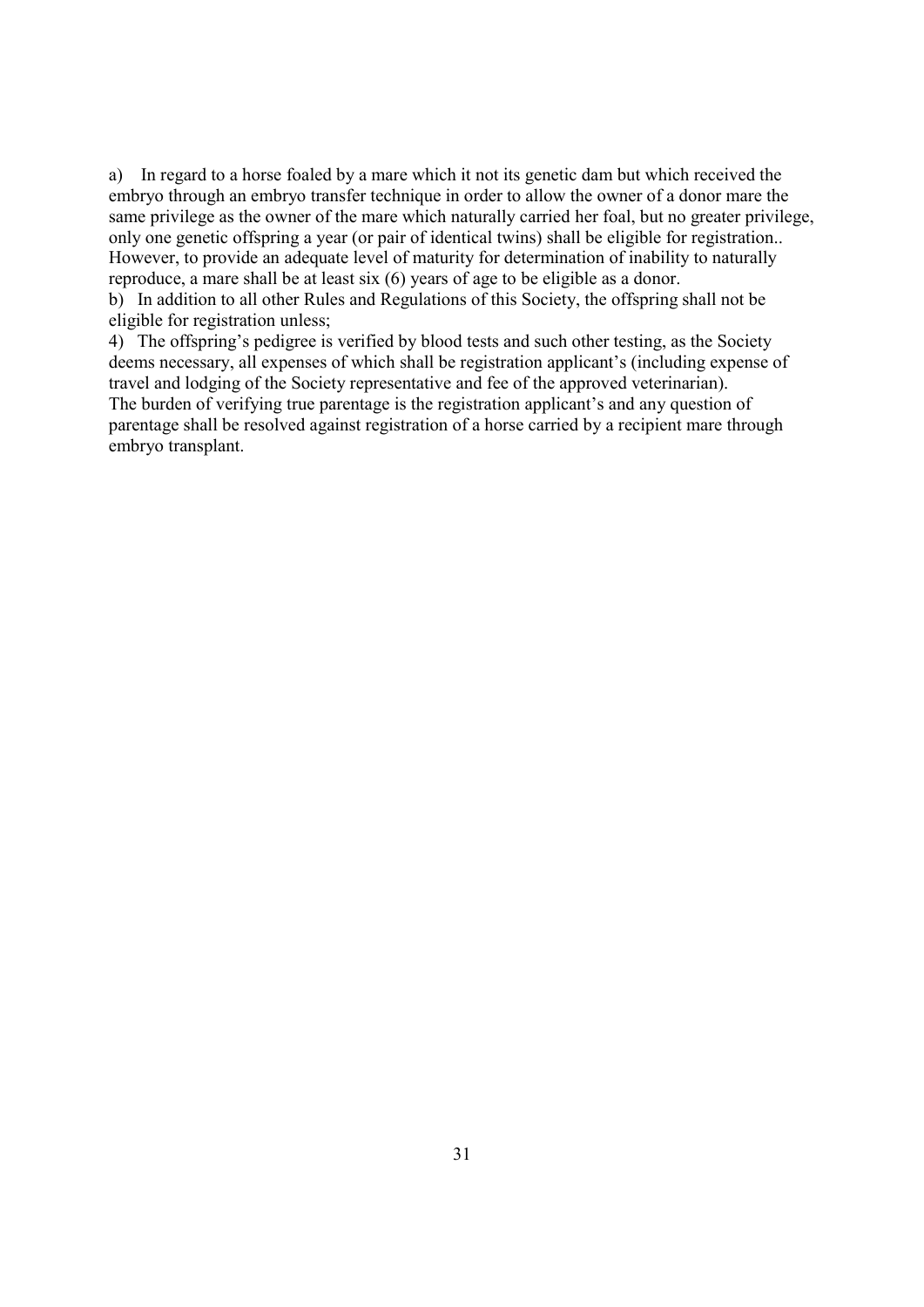a) In regard to a horse foaled by a mare which it not its genetic dam but which received the embryo through an embryo transfer technique in order to allow the owner of a donor mare the same privilege as the owner of the mare which naturally carried her foal, but no greater privilege, only one genetic offspring a year (or pair of identical twins) shall be eligible for registration.. However, to provide an adequate level of maturity for determination of inability to naturally reproduce, a mare shall be at least six (6) years of age to be eligible as a donor.

b) In addition to all other Rules and Regulations of this Society, the offspring shall not be eligible for registration unless;

4) The offspring's pedigree is verified by blood tests and such other testing, as the Society deems necessary, all expenses of which shall be registration applicant's (including expense of travel and lodging of the Society representative and fee of the approved veterinarian). The burden of verifying true parentage is the registration applicant's and any question of parentage shall be resolved against registration of a horse carried by a recipient mare through embryo transplant.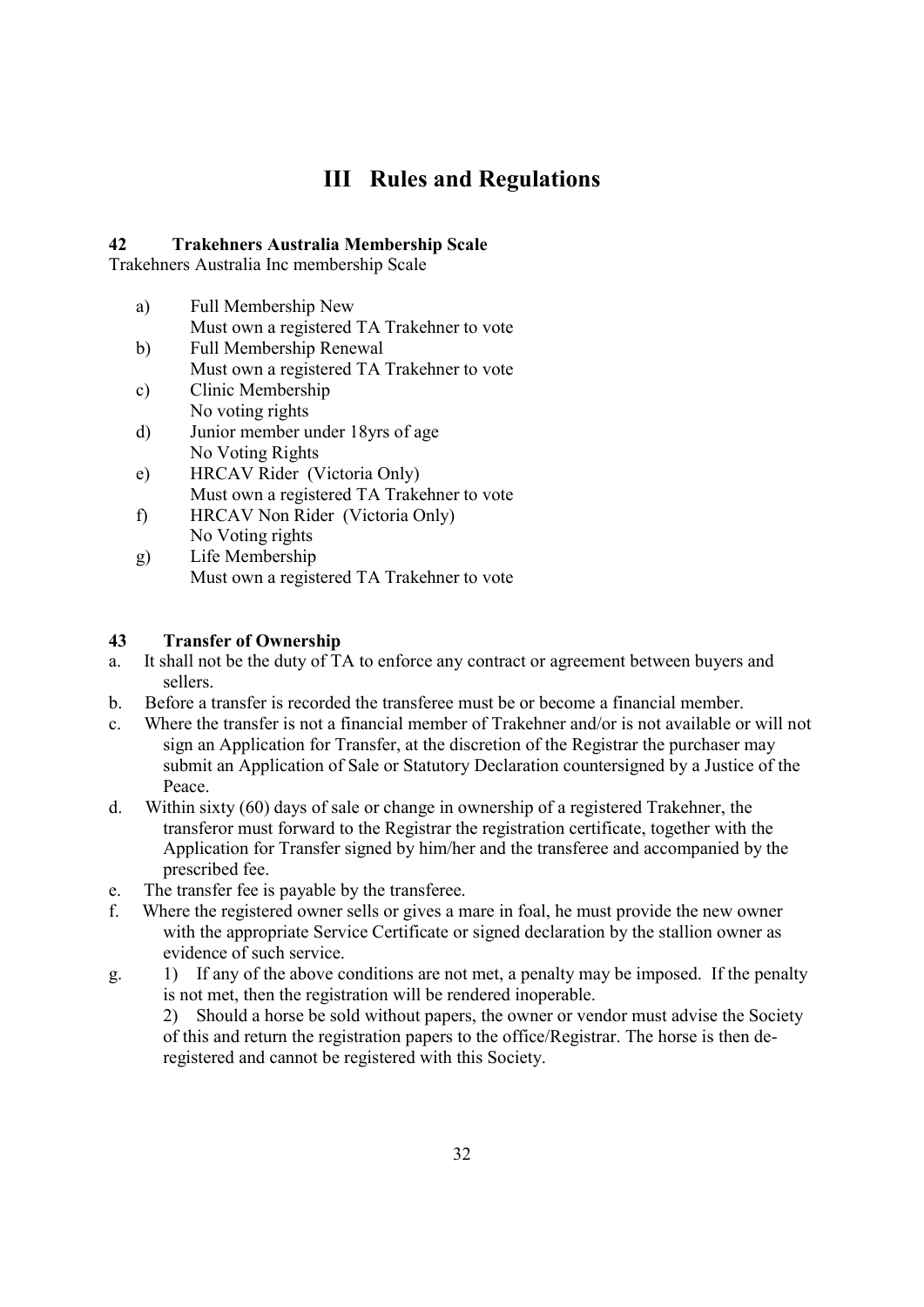# III Rules and Regulations

# 42 Trakehners Australia Membership Scale

Trakehners Australia Inc membership Scale

- a) Full Membership New
	- Must own a registered TA Trakehner to vote
- b) Full Membership Renewal Must own a registered TA Trakehner to vote
- c) Clinic Membership No voting rights
- d) Junior member under 18yrs of age No Voting Rights
- e) HRCAV Rider (Victoria Only) Must own a registered TA Trakehner to vote
- f) HRCAV Non Rider (Victoria Only) No Voting rights
- g) Life Membership Must own a registered TA Trakehner to vote

# 43 Transfer of Ownership

- a. It shall not be the duty of TA to enforce any contract or agreement between buyers and sellers.
- b. Before a transfer is recorded the transferee must be or become a financial member.
- c. Where the transfer is not a financial member of Trakehner and/or is not available or will not sign an Application for Transfer, at the discretion of the Registrar the purchaser may submit an Application of Sale or Statutory Declaration countersigned by a Justice of the Peace.
- d. Within sixty (60) days of sale or change in ownership of a registered Trakehner, the transferor must forward to the Registrar the registration certificate, together with the Application for Transfer signed by him/her and the transferee and accompanied by the prescribed fee.
- e. The transfer fee is payable by the transferee.
- f. Where the registered owner sells or gives a mare in foal, he must provide the new owner with the appropriate Service Certificate or signed declaration by the stallion owner as evidence of such service.
- g. 1) If any of the above conditions are not met, a penalty may be imposed. If the penalty is not met, then the registration will be rendered inoperable.

2) Should a horse be sold without papers, the owner or vendor must advise the Society of this and return the registration papers to the office/Registrar. The horse is then deregistered and cannot be registered with this Society.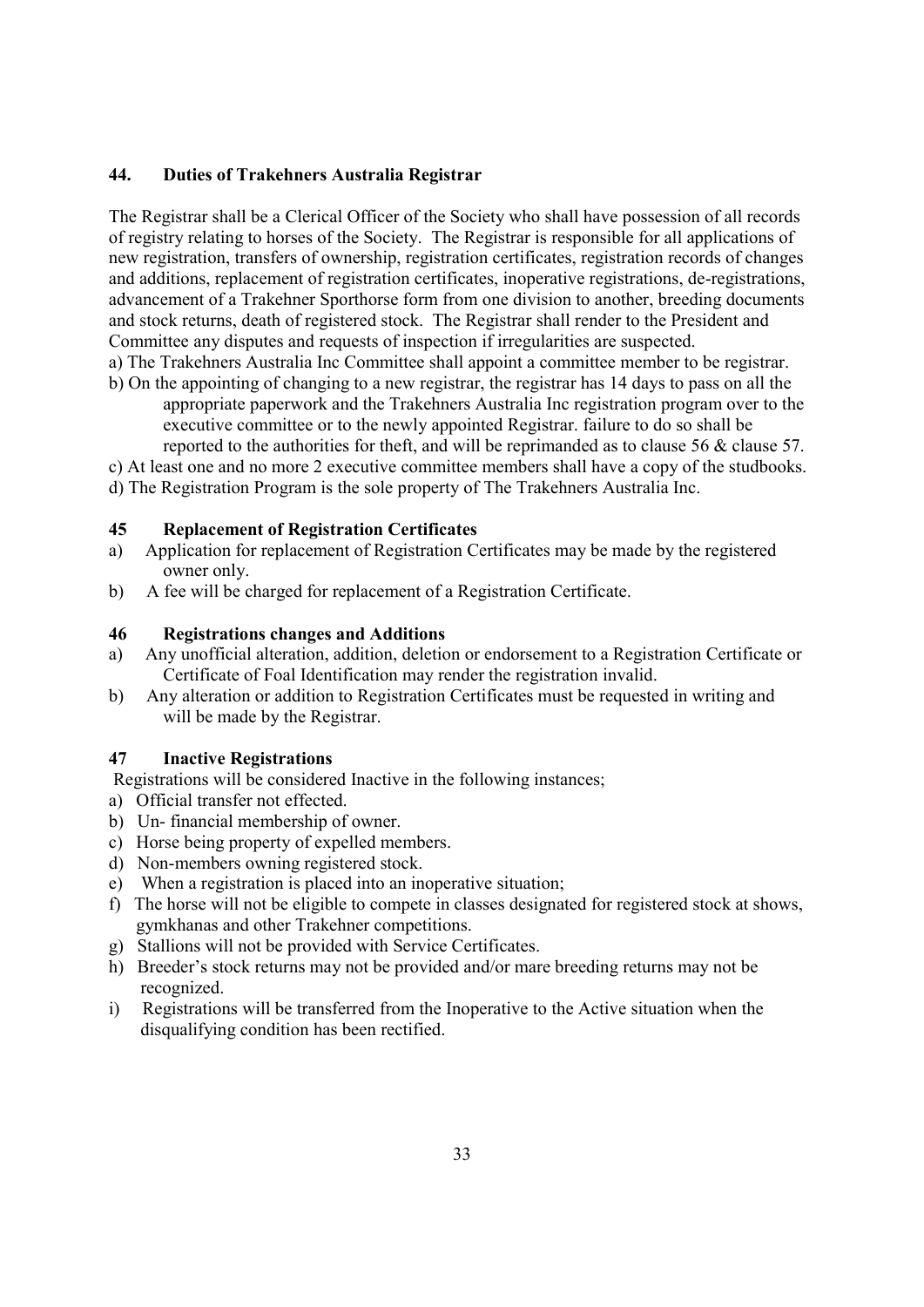## 44. Duties of Trakehners Australia Registrar

The Registrar shall be a Clerical Officer of the Society who shall have possession of all records of registry relating to horses of the Society. The Registrar is responsible for all applications of new registration, transfers of ownership, registration certificates, registration records of changes and additions, replacement of registration certificates, inoperative registrations, de-registrations, advancement of a Trakehner Sporthorse form from one division to another, breeding documents and stock returns, death of registered stock. The Registrar shall render to the President and Committee any disputes and requests of inspection if irregularities are suspected.

a) The Trakehners Australia Inc Committee shall appoint a committee member to be registrar. b) On the appointing of changing to a new registrar, the registrar has 14 days to pass on all the

appropriate paperwork and the Trakehners Australia Inc registration program over to the executive committee or to the newly appointed Registrar. failure to do so shall be reported to the authorities for theft, and will be reprimanded as to clause 56 & clause 57.

c) At least one and no more 2 executive committee members shall have a copy of the studbooks.

d) The Registration Program is the sole property of The Trakehners Australia Inc.

### 45 Replacement of Registration Certificates

- a) Application for replacement of Registration Certificates may be made by the registered owner only.
- b) A fee will be charged for replacement of a Registration Certificate.

#### 46 Registrations changes and Additions

- a) Any unofficial alteration, addition, deletion or endorsement to a Registration Certificate or Certificate of Foal Identification may render the registration invalid.
- b) Any alteration or addition to Registration Certificates must be requested in writing and will be made by the Registrar.

#### 47 Inactive Registrations

- Registrations will be considered Inactive in the following instances;
- a) Official transfer not effected.
- b) Un- financial membership of owner.
- c) Horse being property of expelled members.
- d) Non-members owning registered stock.
- e) When a registration is placed into an inoperative situation;
- f) The horse will not be eligible to compete in classes designated for registered stock at shows, gymkhanas and other Trakehner competitions.
- g) Stallions will not be provided with Service Certificates.
- h) Breeder's stock returns may not be provided and/or mare breeding returns may not be recognized.
- i) Registrations will be transferred from the Inoperative to the Active situation when the disqualifying condition has been rectified.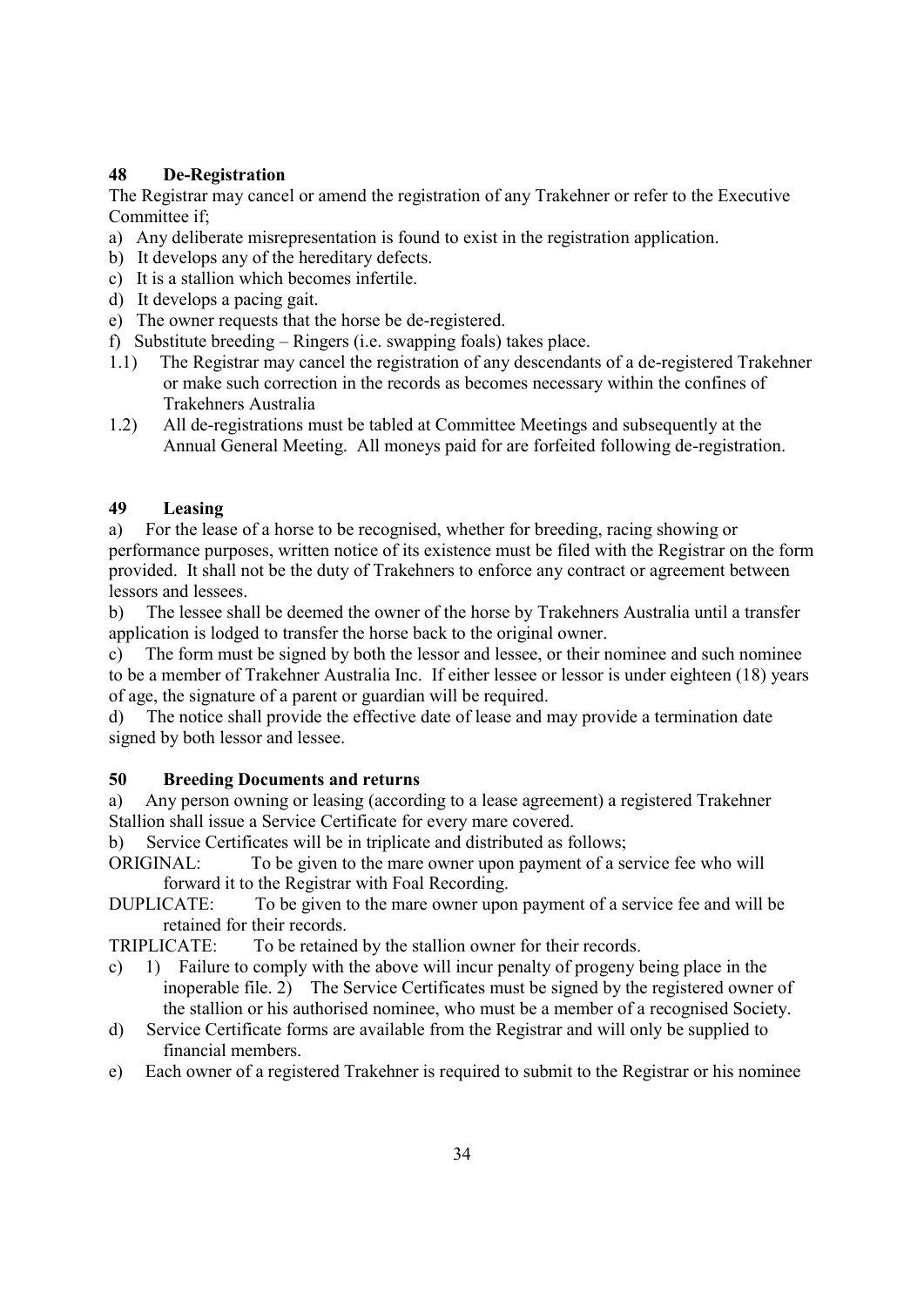# 48 De-Registration

The Registrar may cancel or amend the registration of any Trakehner or refer to the Executive Committee if;

- a) Any deliberate misrepresentation is found to exist in the registration application.
- b) It develops any of the hereditary defects.
- c) It is a stallion which becomes infertile.
- d) It develops a pacing gait.
- e) The owner requests that the horse be de-registered.
- f) Substitute breeding Ringers (i.e. swapping foals) takes place.
- 1.1) The Registrar may cancel the registration of any descendants of a de-registered Trakehner or make such correction in the records as becomes necessary within the confines of Trakehners Australia
- 1.2) All de-registrations must be tabled at Committee Meetings and subsequently at the Annual General Meeting. All moneys paid for are forfeited following de-registration.

## 49 Leasing

a) For the lease of a horse to be recognised, whether for breeding, racing showing or performance purposes, written notice of its existence must be filed with the Registrar on the form provided. It shall not be the duty of Trakehners to enforce any contract or agreement between lessors and lessees.

b) The lessee shall be deemed the owner of the horse by Trakehners Australia until a transfer application is lodged to transfer the horse back to the original owner.

c) The form must be signed by both the lessor and lessee, or their nominee and such nominee to be a member of Trakehner Australia Inc. If either lessee or lessor is under eighteen (18) years of age, the signature of a parent or guardian will be required.

d) The notice shall provide the effective date of lease and may provide a termination date signed by both lessor and lessee.

## 50 Breeding Documents and returns

a) Any person owning or leasing (according to a lease agreement) a registered Trakehner Stallion shall issue a Service Certificate for every mare covered.

b) Service Certificates will be in triplicate and distributed as follows;

ORIGINAL: To be given to the mare owner upon payment of a service fee who will forward it to the Registrar with Foal Recording.

DUPLICATE: To be given to the mare owner upon payment of a service fee and will be retained for their records.

TRIPLICATE: To be retained by the stallion owner for their records.

- c) 1) Failure to comply with the above will incur penalty of progeny being place in the inoperable file. 2) The Service Certificates must be signed by the registered owner of the stallion or his authorised nominee, who must be a member of a recognised Society.
- d) Service Certificate forms are available from the Registrar and will only be supplied to financial members.
- e) Each owner of a registered Trakehner is required to submit to the Registrar or his nominee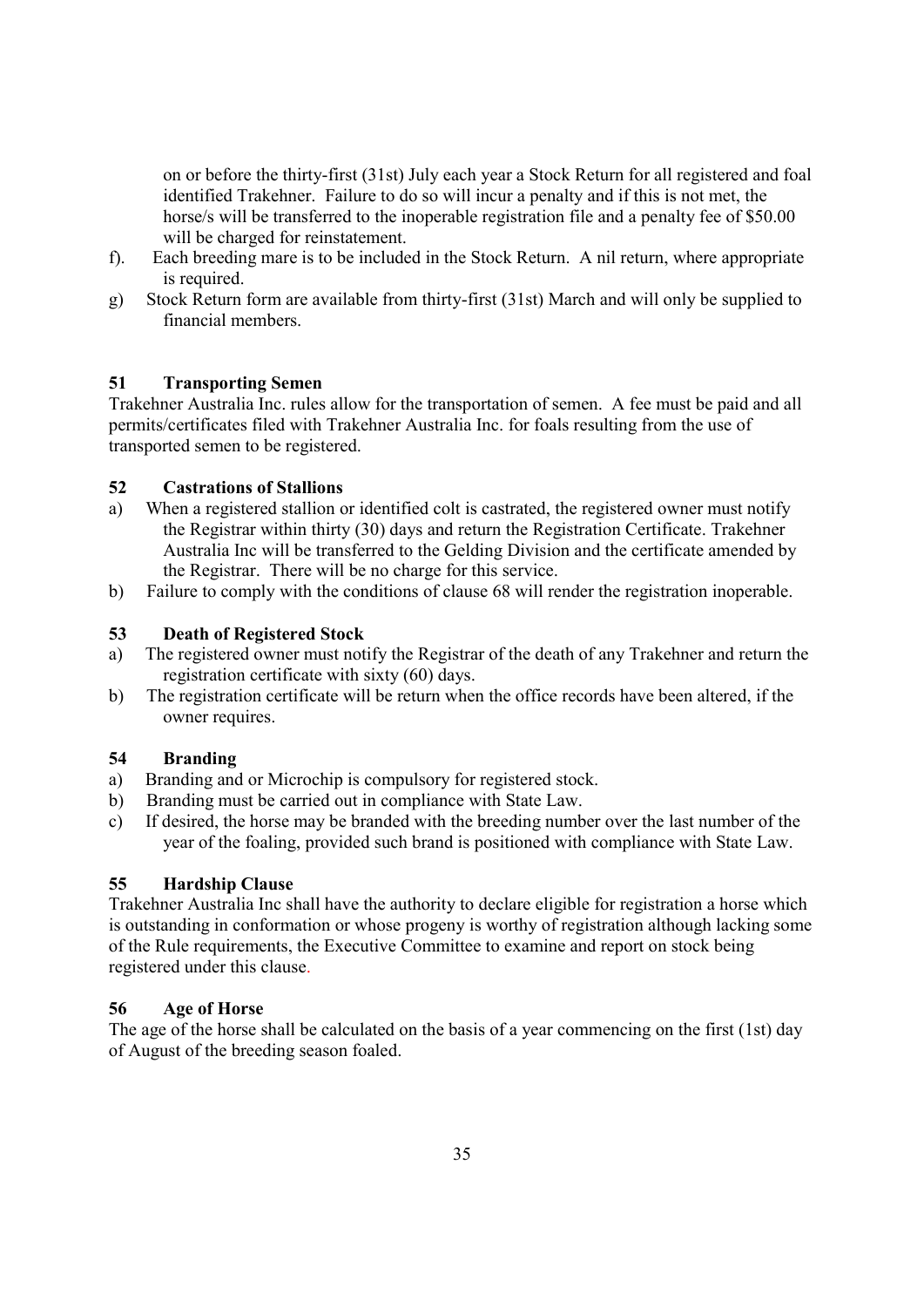on or before the thirty-first (31st) July each year a Stock Return for all registered and foal identified Trakehner. Failure to do so will incur a penalty and if this is not met, the horse/s will be transferred to the inoperable registration file and a penalty fee of \$50.00 will be charged for reinstatement.

- f). Each breeding mare is to be included in the Stock Return. A nil return, where appropriate is required.
- g) Stock Return form are available from thirty-first (31st) March and will only be supplied to financial members.

# 51 Transporting Semen

Trakehner Australia Inc. rules allow for the transportation of semen. A fee must be paid and all permits/certificates filed with Trakehner Australia Inc. for foals resulting from the use of transported semen to be registered.

## 52 Castrations of Stallions

- a) When a registered stallion or identified colt is castrated, the registered owner must notify the Registrar within thirty (30) days and return the Registration Certificate. Trakehner Australia Inc will be transferred to the Gelding Division and the certificate amended by the Registrar. There will be no charge for this service.
- b) Failure to comply with the conditions of clause 68 will render the registration inoperable.

## 53 Death of Registered Stock

- a) The registered owner must notify the Registrar of the death of any Trakehner and return the registration certificate with sixty (60) days.
- b) The registration certificate will be return when the office records have been altered, if the owner requires.

## 54 Branding

- a) Branding and or Microchip is compulsory for registered stock.
- b) Branding must be carried out in compliance with State Law.
- c) If desired, the horse may be branded with the breeding number over the last number of the year of the foaling, provided such brand is positioned with compliance with State Law.

## 55 Hardship Clause

Trakehner Australia Inc shall have the authority to declare eligible for registration a horse which is outstanding in conformation or whose progeny is worthy of registration although lacking some of the Rule requirements, the Executive Committee to examine and report on stock being registered under this clause.

## 56 Age of Horse

The age of the horse shall be calculated on the basis of a year commencing on the first (1st) day of August of the breeding season foaled.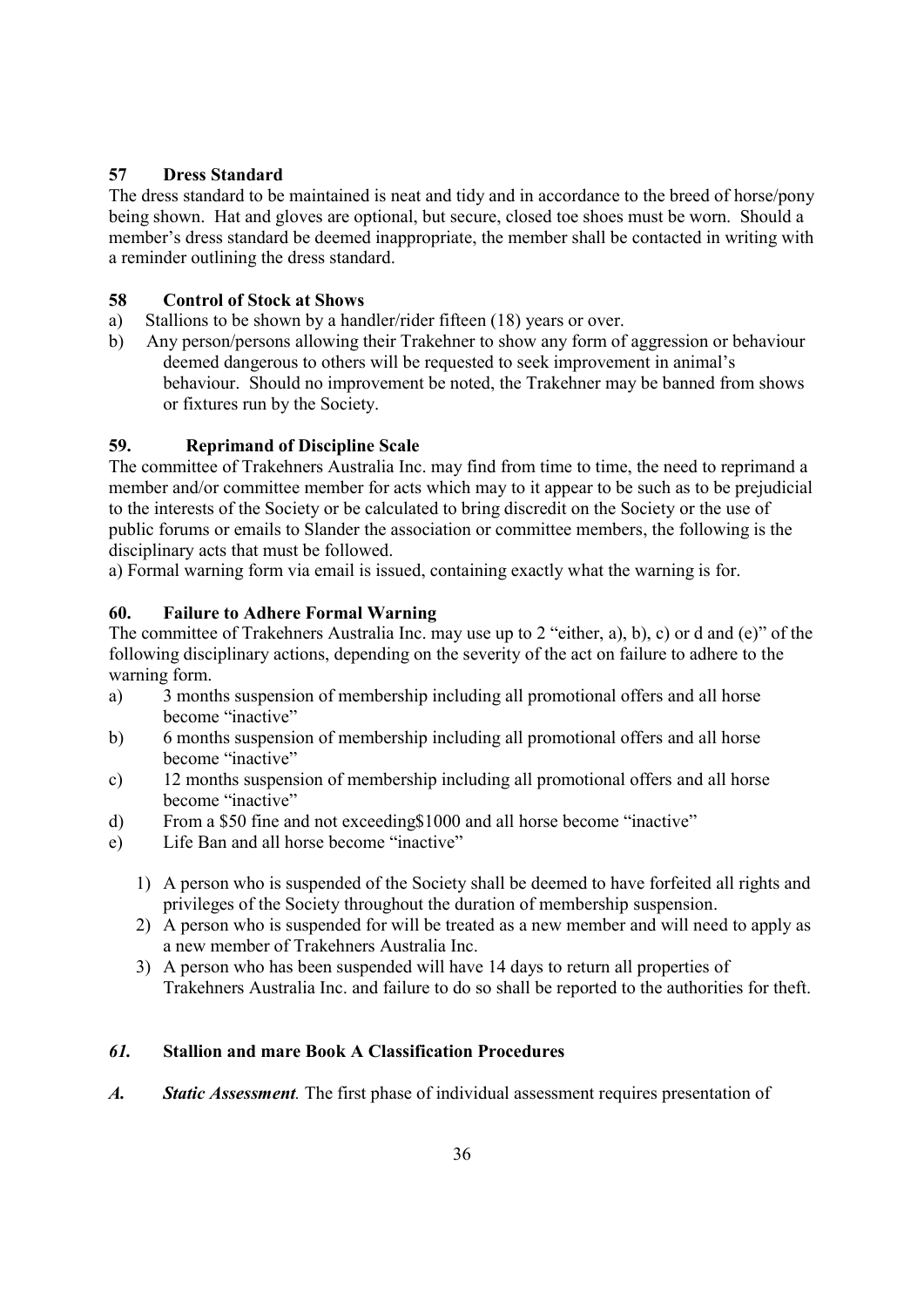# 57 Dress Standard

The dress standard to be maintained is neat and tidy and in accordance to the breed of horse/pony being shown. Hat and gloves are optional, but secure, closed toe shoes must be worn. Should a member's dress standard be deemed inappropriate, the member shall be contacted in writing with a reminder outlining the dress standard.

## 58 Control of Stock at Shows

- a) Stallions to be shown by a handler/rider fifteen (18) years or over.
- b) Any person/persons allowing their Trakehner to show any form of aggression or behaviour deemed dangerous to others will be requested to seek improvement in animal's behaviour. Should no improvement be noted, the Trakehner may be banned from shows or fixtures run by the Society.

# 59. Reprimand of Discipline Scale

The committee of Trakehners Australia Inc. may find from time to time, the need to reprimand a member and/or committee member for acts which may to it appear to be such as to be prejudicial to the interests of the Society or be calculated to bring discredit on the Society or the use of public forums or emails to Slander the association or committee members, the following is the disciplinary acts that must be followed.

a) Formal warning form via email is issued, containing exactly what the warning is for.

# 60. Failure to Adhere Formal Warning

The committee of Trakehners Australia Inc. may use up to 2 "either, a), b), c) or d and (e)" of the following disciplinary actions, depending on the severity of the act on failure to adhere to the warning form.

- a) 3 months suspension of membership including all promotional offers and all horse become "inactive"
- b) 6 months suspension of membership including all promotional offers and all horse become "inactive"
- c) 12 months suspension of membership including all promotional offers and all horse become "inactive"
- d) From a \$50 fine and not exceeding\$1000 and all horse become "inactive"
- e) Life Ban and all horse become "inactive"
	- 1) A person who is suspended of the Society shall be deemed to have forfeited all rights and privileges of the Society throughout the duration of membership suspension.
	- 2) A person who is suspended for will be treated as a new member and will need to apply as a new member of Trakehners Australia Inc.
	- 3) A person who has been suspended will have 14 days to return all properties of Trakehners Australia Inc. and failure to do so shall be reported to the authorities for theft.

# 61. Stallion and mare Book A Classification Procedures

A. Static Assessment. The first phase of individual assessment requires presentation of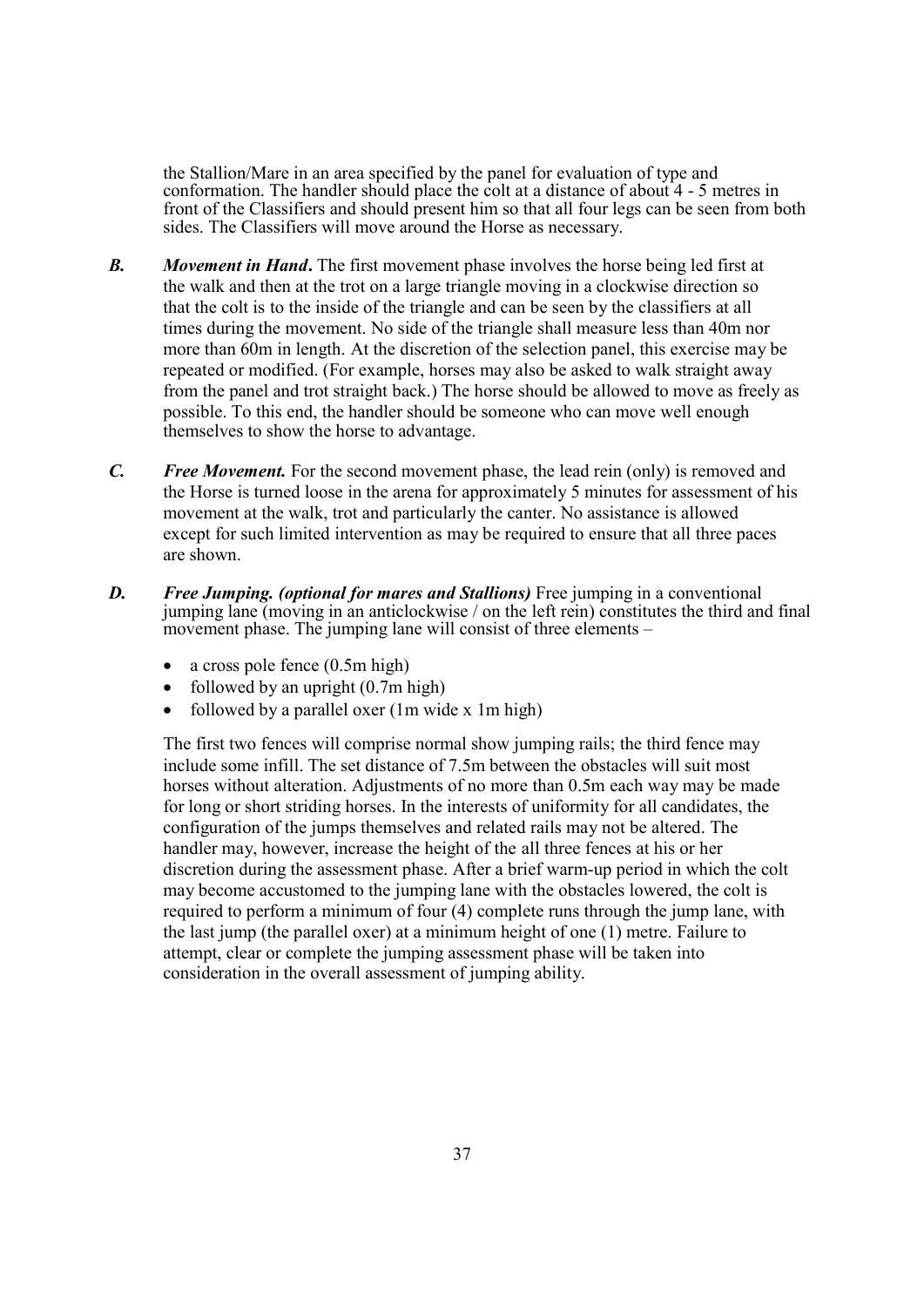the Stallion/Mare in an area specified by the panel for evaluation of type and conformation. The handler should place the colt at a distance of about 4 - 5 metres in front of the Classifiers and should present him so that all four legs can be seen from both sides. The Classifiers will move around the Horse as necessary.

- **B.** Movement in Hand. The first movement phase involves the horse being led first at the walk and then at the trot on a large triangle moving in a clockwise direction so that the colt is to the inside of the triangle and can be seen by the classifiers at all times during the movement. No side of the triangle shall measure less than 40m nor more than 60m in length. At the discretion of the selection panel, this exercise may be repeated or modified. (For example, horses may also be asked to walk straight away from the panel and trot straight back.) The horse should be allowed to move as freely as possible. To this end, the handler should be someone who can move well enough themselves to show the horse to advantage.
- C. Free Movement. For the second movement phase, the lead rein (only) is removed and the Horse is turned loose in the arena for approximately 5 minutes for assessment of his movement at the walk, trot and particularly the canter. No assistance is allowed except for such limited intervention as may be required to ensure that all three paces are shown.
- **D.** Free Jumping. (optional for mares and Stallions) Free jumping in a conventional jumping lane (moving in an anticlockwise / on the left rein) constitutes the third and final movement phase. The jumping lane will consist of three elements –
	- $\bullet$  a cross pole fence (0.5m high)
	- $\bullet$  followed by an upright (0.7m high)
	- followed by a parallel oxer  $(1m \text{ wide } x \text{ 1m high})$

The first two fences will comprise normal show jumping rails; the third fence may include some infill. The set distance of 7.5m between the obstacles will suit most horses without alteration. Adjustments of no more than 0.5m each way may be made for long or short striding horses. In the interests of uniformity for all candidates, the configuration of the jumps themselves and related rails may not be altered. The handler may, however, increase the height of the all three fences at his or her discretion during the assessment phase. After a brief warm-up period in which the colt may become accustomed to the jumping lane with the obstacles lowered, the colt is required to perform a minimum of four (4) complete runs through the jump lane, with the last jump (the parallel oxer) at a minimum height of one (1) metre. Failure to attempt, clear or complete the jumping assessment phase will be taken into consideration in the overall assessment of jumping ability.